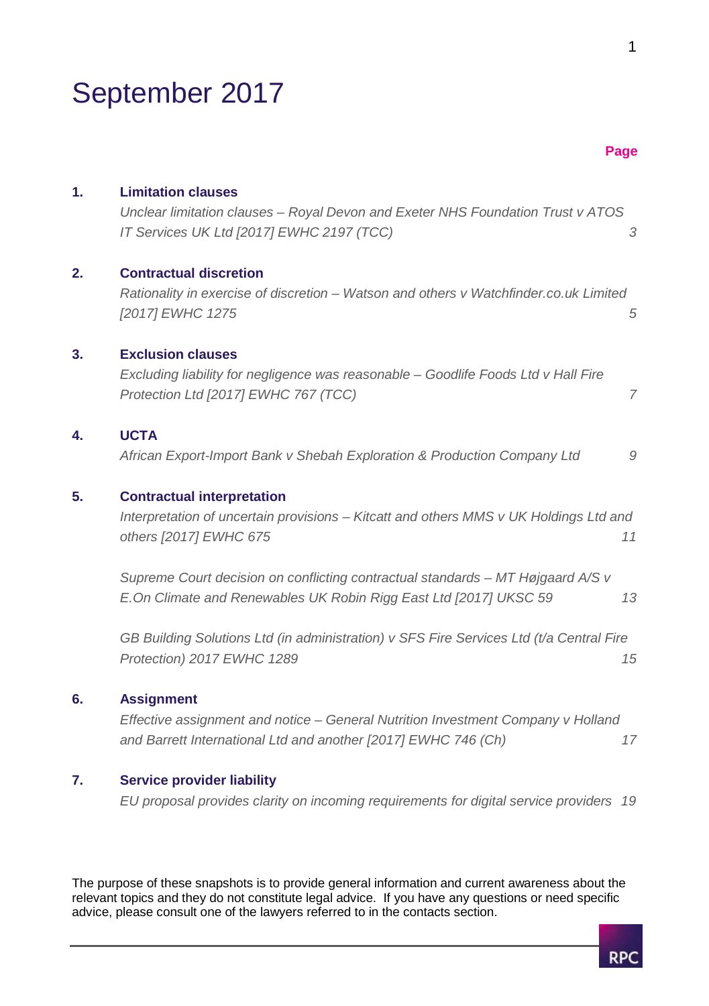## September 2017

|    |                                                                                                                                                                         | Page |
|----|-------------------------------------------------------------------------------------------------------------------------------------------------------------------------|------|
| 1. | <b>Limitation clauses</b><br>Unclear limitation clauses - Royal Devon and Exeter NHS Foundation Trust v ATOS<br>IT Services UK Ltd [2017] EWHC 2197 (TCC)               | 3    |
| 2. | <b>Contractual discretion</b><br>Rationality in exercise of discretion - Watson and others v Watchfinder.co.uk Limited<br>[2017] EWHC 1275                              | 5    |
| 3. | <b>Exclusion clauses</b><br>Excluding liability for negligence was reasonable - Goodlife Foods Ltd v Hall Fire<br>Protection Ltd [2017] EWHC 767 (TCC)                  | 7    |
| 4. | <b>UCTA</b><br>African Export-Import Bank v Shebah Exploration & Production Company Ltd                                                                                 | 9    |
| 5. | <b>Contractual interpretation</b><br>Interpretation of uncertain provisions - Kitcatt and others MMS v UK Holdings Ltd and<br>others [2017] EWHC 675                    | 11   |
|    | Supreme Court decision on conflicting contractual standards – MT Højgaard A/S v<br>E. On Climate and Renewables UK Robin Rigg East Ltd [2017] UKSC 59                   | 13   |
|    | GB Building Solutions Ltd (in administration) v SFS Fire Services Ltd (t/a Central Fire<br>Protection) 2017 EWHC 1289                                                   | 15   |
| 6. | <b>Assignment</b><br>Effective assignment and notice - General Nutrition Investment Company v Holland<br>and Barrett International Ltd and another [2017] EWHC 746 (Ch) | 17   |
| 7. | <b>Service provider liability</b>                                                                                                                                       |      |

*EU proposal provides clarity on incoming requirements for digital service providers 19*

The purpose of these snapshots is to provide general information and current awareness about the relevant topics and they do not constitute legal advice. If you have any questions or need specific advice, please consult one of the lawyers referred to in the contacts section.

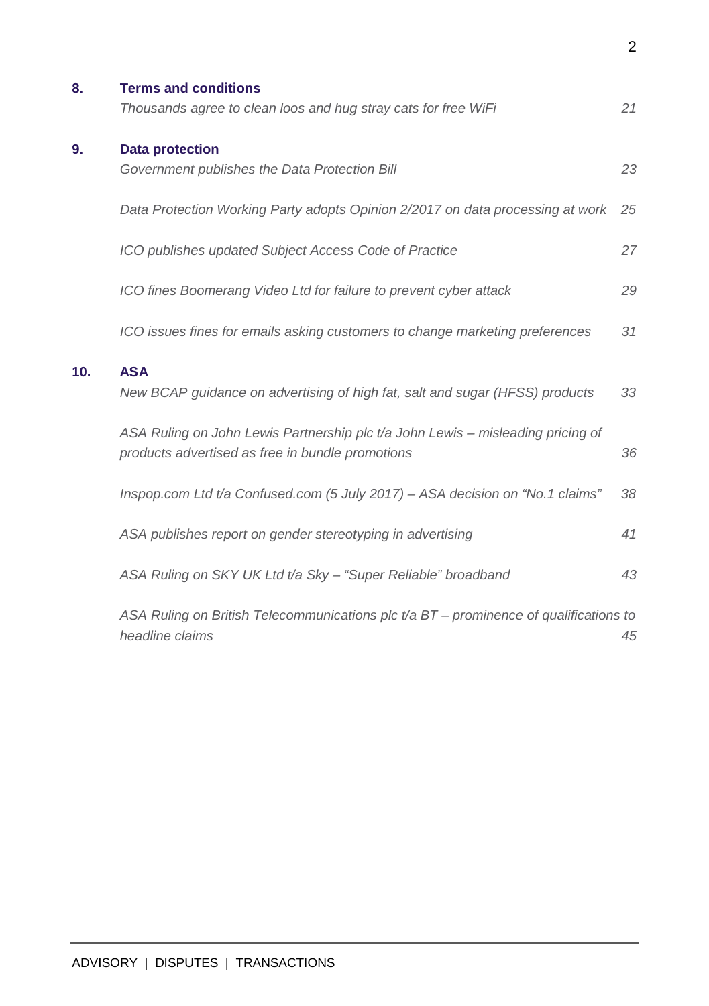| 8.  | <b>Terms and conditions</b>                                                             |    |
|-----|-----------------------------------------------------------------------------------------|----|
|     | Thousands agree to clean loos and hug stray cats for free WiFi                          | 21 |
| 9.  | <b>Data protection</b>                                                                  |    |
|     | Government publishes the Data Protection Bill                                           | 23 |
|     | Data Protection Working Party adopts Opinion 2/2017 on data processing at work          | 25 |
|     | ICO publishes updated Subject Access Code of Practice                                   | 27 |
|     | ICO fines Boomerang Video Ltd for failure to prevent cyber attack                       | 29 |
|     | ICO issues fines for emails asking customers to change marketing preferences            | 31 |
| 10. | <b>ASA</b>                                                                              |    |
|     | New BCAP guidance on advertising of high fat, salt and sugar (HFSS) products            | 33 |
|     | ASA Ruling on John Lewis Partnership plc t/a John Lewis – misleading pricing of         |    |
|     | products advertised as free in bundle promotions                                        | 36 |
|     | Inspop.com Ltd t/a Confused.com (5 July 2017) - ASA decision on "No.1 claims"           | 38 |
|     | ASA publishes report on gender stereotyping in advertising                              | 41 |
|     | ASA Ruling on SKY UK Ltd t/a Sky - "Super Reliable" broadband                           | 43 |
|     | ASA Ruling on British Telecommunications plc $t/a$ BT – prominence of qualifications to |    |
|     | headline claims                                                                         | 45 |

2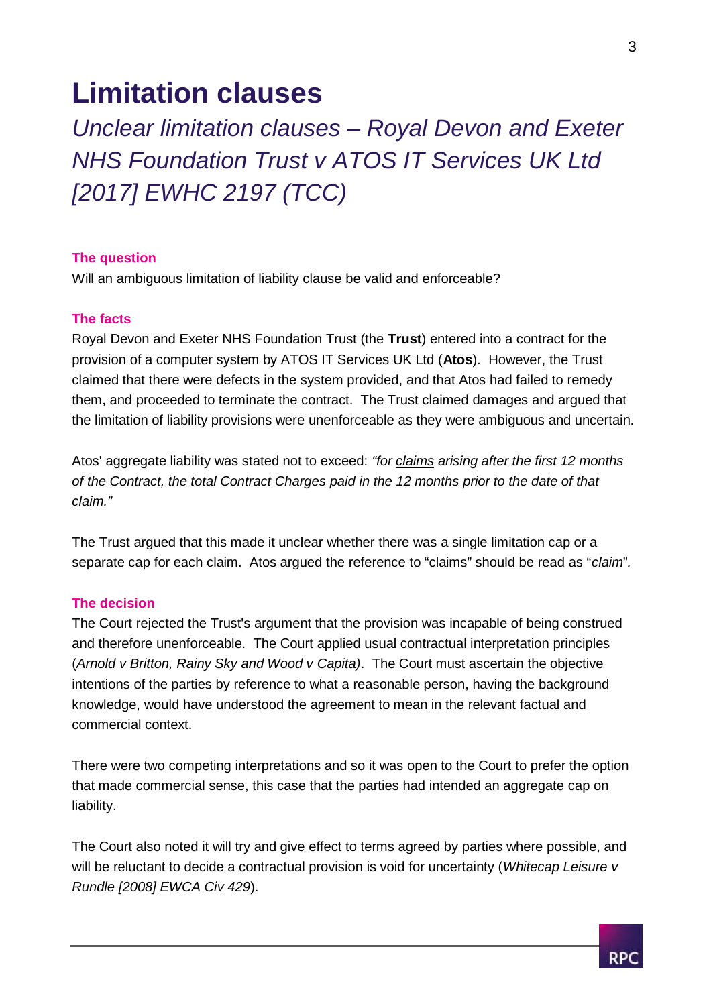### **Limitation clauses**

*Unclear limitation clauses – Royal Devon and Exeter NHS Foundation Trust v ATOS IT Services UK Ltd [2017] EWHC 2197 (TCC)*

### **The question**

Will an ambiguous limitation of liability clause be valid and enforceable?

### **The facts**

Royal Devon and Exeter NHS Foundation Trust (the **Trust**) entered into a contract for the provision of a computer system by ATOS IT Services UK Ltd (**Atos**). However, the Trust claimed that there were defects in the system provided, and that Atos had failed to remedy them, and proceeded to terminate the contract. The Trust claimed damages and argued that the limitation of liability provisions were unenforceable as they were ambiguous and uncertain.

Atos' aggregate liability was stated not to exceed: *"for claims arising after the first 12 months of the Contract, the total Contract Charges paid in the 12 months prior to the date of that claim."*

The Trust argued that this made it unclear whether there was a single limitation cap or a separate cap for each claim. Atos argued the reference to "claims" should be read as "*claim*"*.*

### **The decision**

The Court rejected the Trust's argument that the provision was incapable of being construed and therefore unenforceable. The Court applied usual contractual interpretation principles (*Arnold v Britton, Rainy Sky and Wood v Capita)*. The Court must ascertain the objective intentions of the parties by reference to what a reasonable person, having the background knowledge, would have understood the agreement to mean in the relevant factual and commercial context.

There were two competing interpretations and so it was open to the Court to prefer the option that made commercial sense, this case that the parties had intended an aggregate cap on liability.

The Court also noted it will try and give effect to terms agreed by parties where possible, and will be reluctant to decide a contractual provision is void for uncertainty (*Whitecap Leisure v Rundle [2008] EWCA Civ 429*).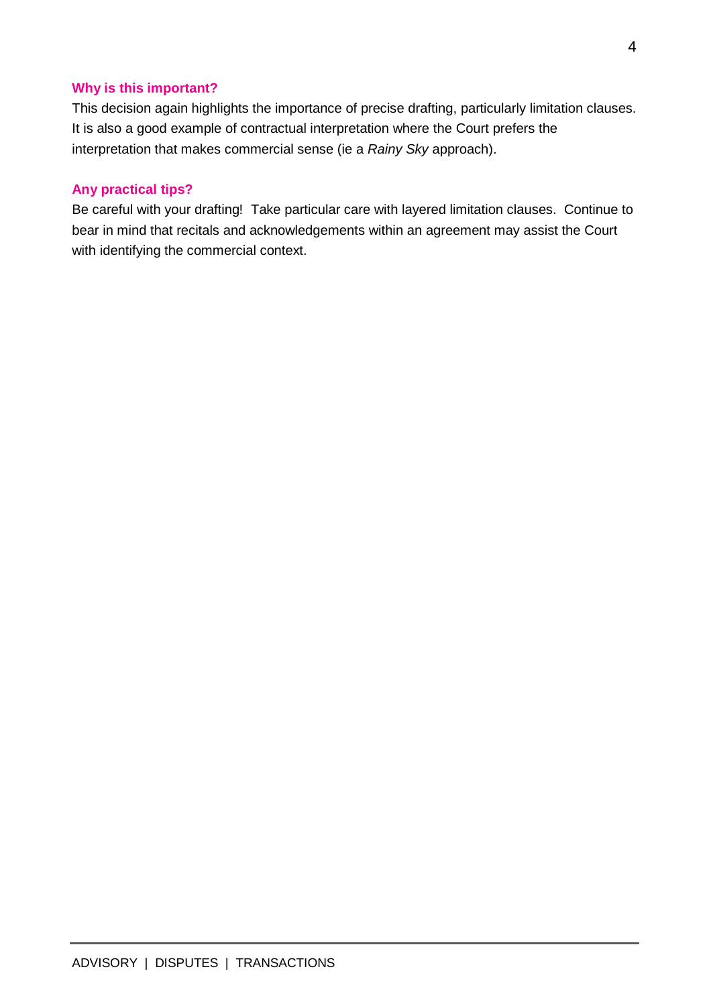### **Why is this important?**

This decision again highlights the importance of precise drafting, particularly limitation clauses. It is also a good example of contractual interpretation where the Court prefers the interpretation that makes commercial sense (ie a *Rainy Sky* approach).

### **Any practical tips?**

Be careful with your drafting! Take particular care with layered limitation clauses. Continue to bear in mind that recitals and acknowledgements within an agreement may assist the Court with identifying the commercial context.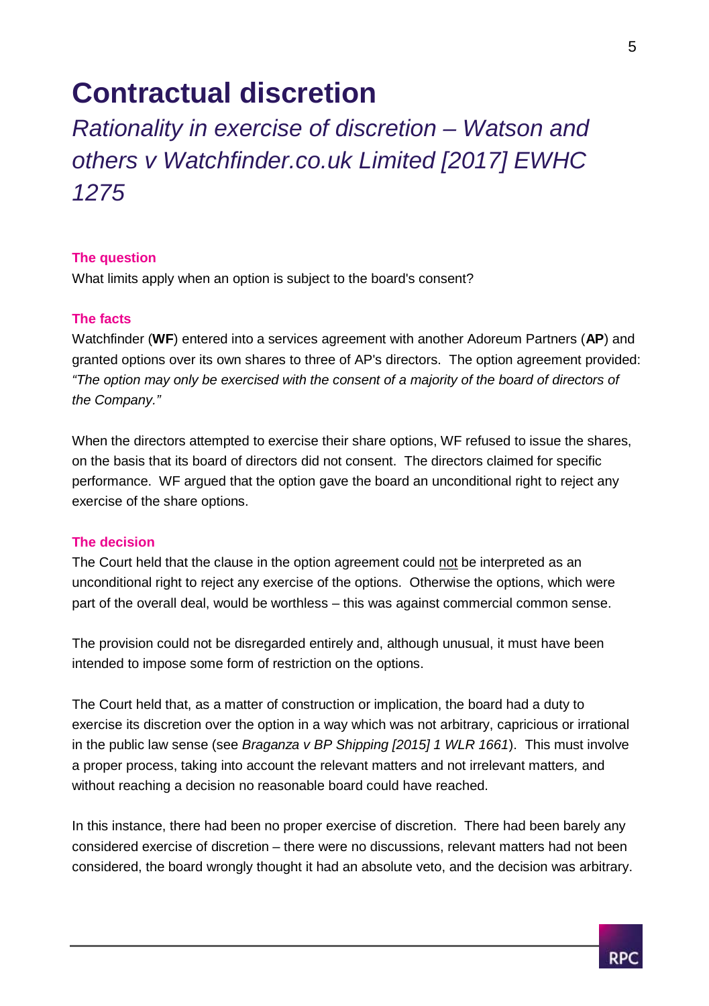### **Contractual discretion**

### *Rationality in exercise of discretion – Watson and others v Watchfinder.co.uk Limited [2017] EWHC 1275*

### **The question**

What limits apply when an option is subject to the board's consent?

### **The facts**

Watchfinder (**WF**) entered into a services agreement with another Adoreum Partners (**AP**) and granted options over its own shares to three of AP's directors. The option agreement provided: *"The option may only be exercised with the consent of a majority of the board of directors of the Company."*

When the directors attempted to exercise their share options. WF refused to issue the shares, on the basis that its board of directors did not consent. The directors claimed for specific performance. WF argued that the option gave the board an unconditional right to reject any exercise of the share options.

### **The decision**

The Court held that the clause in the option agreement could not be interpreted as an unconditional right to reject any exercise of the options. Otherwise the options, which were part of the overall deal, would be worthless – this was against commercial common sense.

The provision could not be disregarded entirely and, although unusual, it must have been intended to impose some form of restriction on the options.

The Court held that, as a matter of construction or implication, the board had a duty to exercise its discretion over the option in a way which was not arbitrary, capricious or irrational in the public law sense (see *Braganza v BP Shipping [2015] 1 WLR 1661*). This must involve a proper process, taking into account the relevant matters and not irrelevant matters*,* and without reaching a decision no reasonable board could have reached.

In this instance, there had been no proper exercise of discretion. There had been barely any considered exercise of discretion – there were no discussions, relevant matters had not been considered, the board wrongly thought it had an absolute veto, and the decision was arbitrary.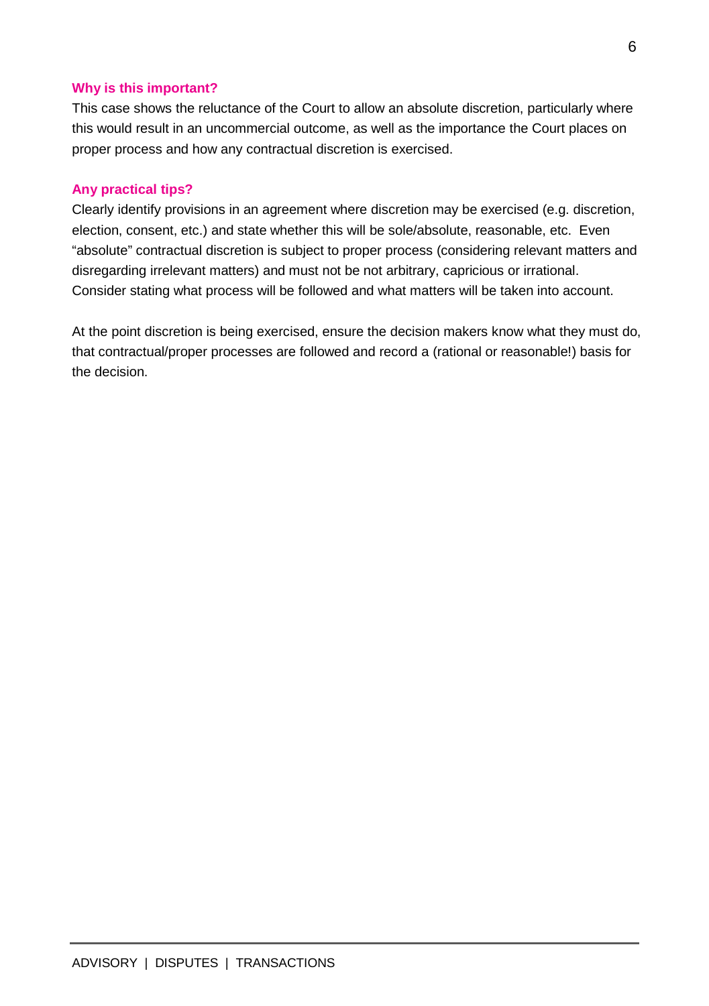### **Why is this important?**

This case shows the reluctance of the Court to allow an absolute discretion, particularly where this would result in an uncommercial outcome, as well as the importance the Court places on proper process and how any contractual discretion is exercised.

### **Any practical tips?**

Clearly identify provisions in an agreement where discretion may be exercised (e.g. discretion, election, consent, etc.) and state whether this will be sole/absolute, reasonable, etc. Even "absolute" contractual discretion is subject to proper process (considering relevant matters and disregarding irrelevant matters) and must not be not arbitrary, capricious or irrational. Consider stating what process will be followed and what matters will be taken into account.

At the point discretion is being exercised, ensure the decision makers know what they must do, that contractual/proper processes are followed and record a (rational or reasonable!) basis for the decision.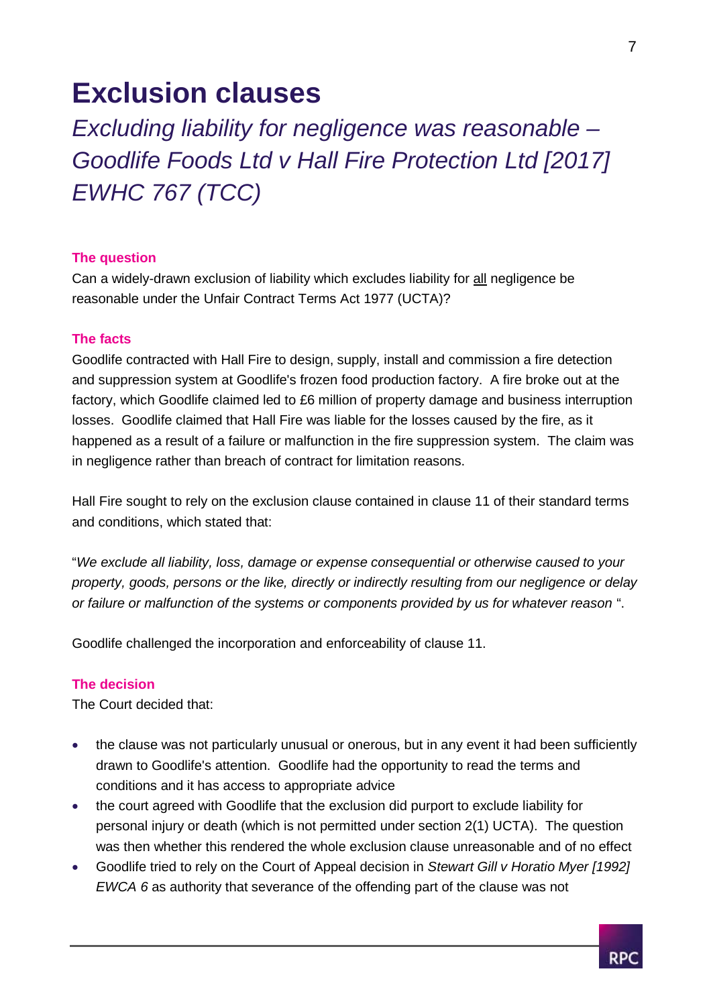### **Exclusion clauses**

*Excluding liability for negligence was reasonable – Goodlife Foods Ltd v Hall Fire Protection Ltd [2017] EWHC 767 (TCC)*

### **The question**

Can a widely-drawn exclusion of liability which excludes liability for all negligence be reasonable under the Unfair Contract Terms Act 1977 (UCTA)?

### **The facts**

Goodlife contracted with Hall Fire to design, supply, install and commission a fire detection and suppression system at Goodlife's frozen food production factory. A fire broke out at the factory, which Goodlife claimed led to £6 million of property damage and business interruption losses. Goodlife claimed that Hall Fire was liable for the losses caused by the fire, as it happened as a result of a failure or malfunction in the fire suppression system. The claim was in negligence rather than breach of contract for limitation reasons.

Hall Fire sought to rely on the exclusion clause contained in clause 11 of their standard terms and conditions, which stated that:

"*We exclude all liability, loss, damage or expense consequential or otherwise caused to your property, goods, persons or the like, directly or indirectly resulting from our negligence or delay or failure or malfunction of the systems or components provided by us for whatever reason* ".

Goodlife challenged the incorporation and enforceability of clause 11.

### **The decision**

The Court decided that:

- the clause was not particularly unusual or onerous, but in any event it had been sufficiently drawn to Goodlife's attention. Goodlife had the opportunity to read the terms and conditions and it has access to appropriate advice
- the court agreed with Goodlife that the exclusion did purport to exclude liability for personal injury or death (which is not permitted under section 2(1) UCTA). The question was then whether this rendered the whole exclusion clause unreasonable and of no effect
- Goodlife tried to rely on the Court of Appeal decision in *Stewart Gill v Horatio Myer [1992] EWCA 6* as authority that severance of the offending part of the clause was not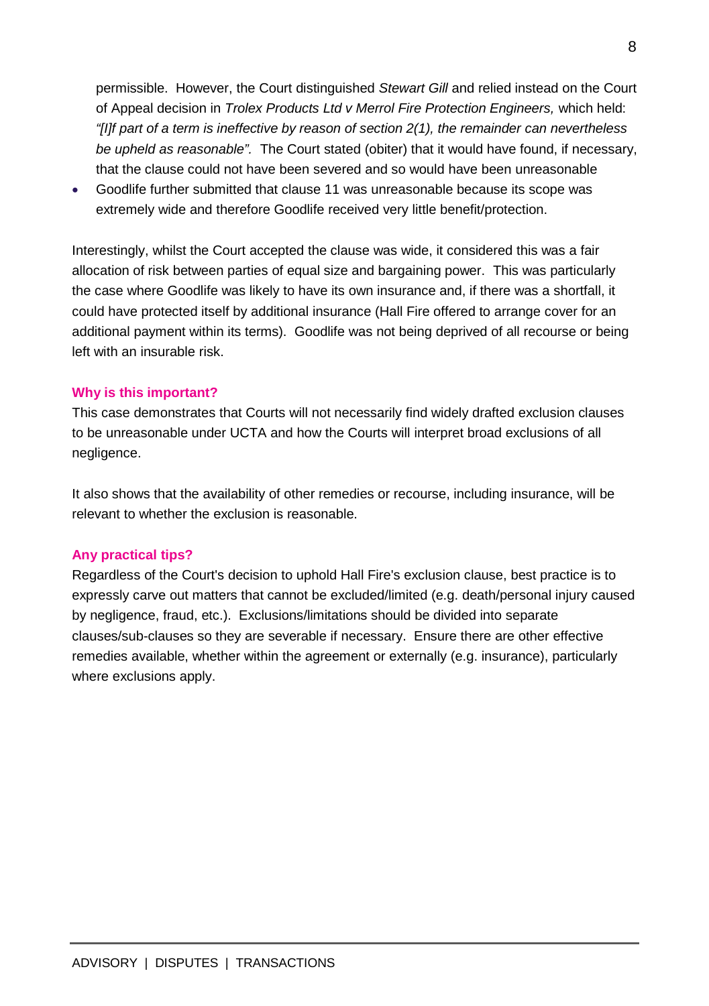permissible. However, the Court distinguished *Stewart Gill* and relied instead on the Court of Appeal decision in *Trolex Products Ltd v Merrol Fire Protection Engineers,* which held: *"[I]f part of a term is ineffective by reason of section 2(1), the remainder can nevertheless be upheld as reasonable".* The Court stated (obiter) that it would have found, if necessary, that the clause could not have been severed and so would have been unreasonable

 Goodlife further submitted that clause 11 was unreasonable because its scope was extremely wide and therefore Goodlife received very little benefit/protection.

Interestingly, whilst the Court accepted the clause was wide, it considered this was a fair allocation of risk between parties of equal size and bargaining power. This was particularly the case where Goodlife was likely to have its own insurance and, if there was a shortfall, it could have protected itself by additional insurance (Hall Fire offered to arrange cover for an additional payment within its terms). Goodlife was not being deprived of all recourse or being left with an insurable risk.

### **Why is this important?**

This case demonstrates that Courts will not necessarily find widely drafted exclusion clauses to be unreasonable under UCTA and how the Courts will interpret broad exclusions of all negligence.

It also shows that the availability of other remedies or recourse, including insurance, will be relevant to whether the exclusion is reasonable.

### **Any practical tips?**

Regardless of the Court's decision to uphold Hall Fire's exclusion clause, best practice is to expressly carve out matters that cannot be excluded/limited (e.g. death/personal injury caused by negligence, fraud, etc.). Exclusions/limitations should be divided into separate clauses/sub-clauses so they are severable if necessary. Ensure there are other effective remedies available, whether within the agreement or externally (e.g. insurance), particularly where exclusions apply.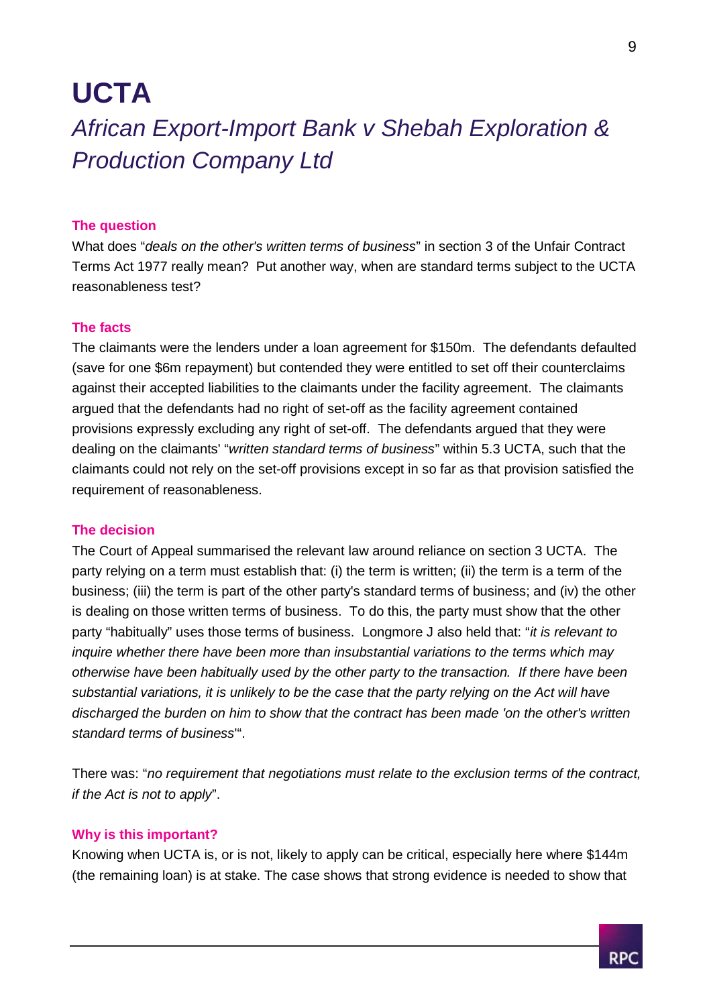### **UCTA**

### *African Export-Import Bank v Shebah Exploration & Production Company Ltd*

### **The question**

What does "*deals on the other's written terms of business*" in section 3 of the Unfair Contract Terms Act 1977 really mean? Put another way, when are standard terms subject to the UCTA reasonableness test?

#### **The facts**

The claimants were the lenders under a loan agreement for \$150m. The defendants defaulted (save for one \$6m repayment) but contended they were entitled to set off their counterclaims against their accepted liabilities to the claimants under the facility agreement. The claimants argued that the defendants had no right of set-off as the facility agreement contained provisions expressly excluding any right of set-off. The defendants argued that they were dealing on the claimants' "*written standard terms of business*" within 5.3 UCTA, such that the claimants could not rely on the set-off provisions except in so far as that provision satisfied the requirement of reasonableness.

### **The decision**

The Court of Appeal summarised the relevant law around reliance on section 3 UCTA. The party relying on a term must establish that: (i) the term is written; (ii) the term is a term of the business; (iii) the term is part of the other party's standard terms of business; and (iv) the other is dealing on those written terms of business. To do this, the party must show that the other party "habitually" uses those terms of business. Longmore J also held that: "*it is relevant to inquire whether there have been more than insubstantial variations to the terms which may otherwise have been habitually used by the other party to the transaction. If there have been substantial variations, it is unlikely to be the case that the party relying on the Act will have discharged the burden on him to show that the contract has been made 'on the other's written standard terms of business*'".

There was: "*no requirement that negotiations must relate to the exclusion terms of the contract, if the Act is not to apply*".

#### **Why is this important?**

Knowing when UCTA is, or is not, likely to apply can be critical, especially here where \$144m (the remaining loan) is at stake. The case shows that strong evidence is needed to show that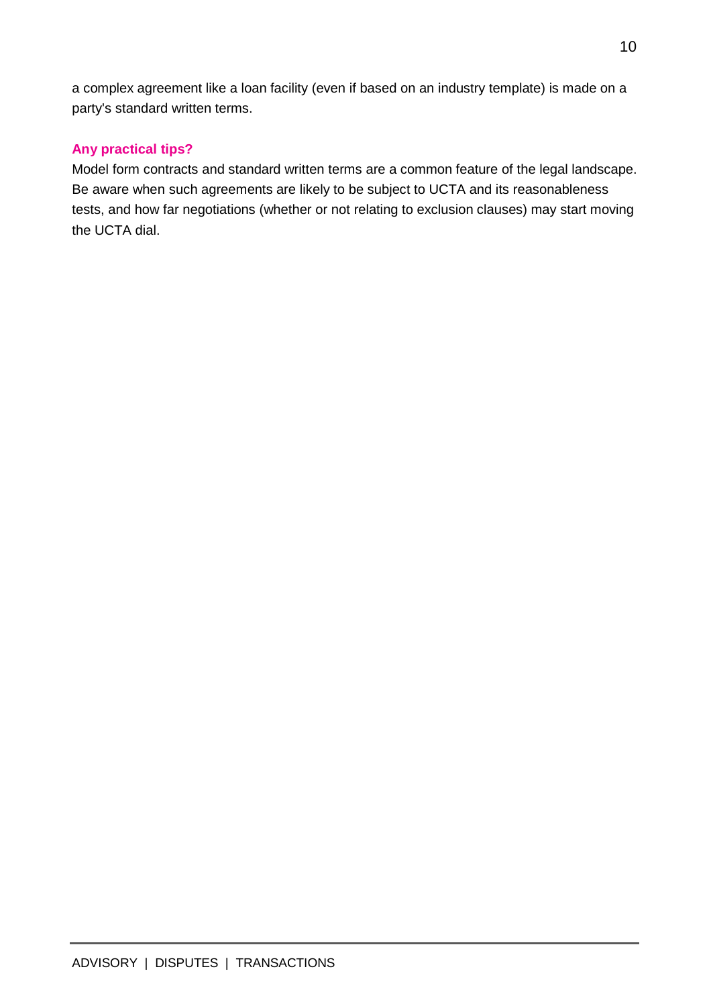a complex agreement like a loan facility (even if based on an industry template) is made on a party's standard written terms.

### **Any practical tips?**

Model form contracts and standard written terms are a common feature of the legal landscape. Be aware when such agreements are likely to be subject to UCTA and its reasonableness tests, and how far negotiations (whether or not relating to exclusion clauses) may start moving the UCTA dial.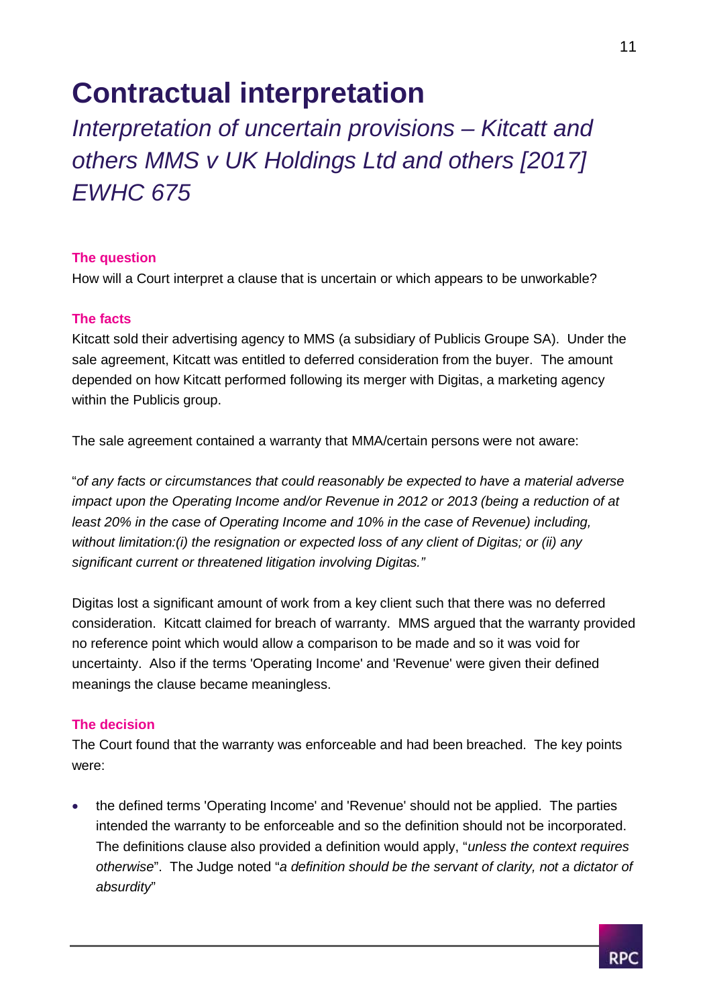## **Contractual interpretation**

*Interpretation of uncertain provisions – Kitcatt and others MMS v UK Holdings Ltd and others [2017] EWHC 675*

### **The question**

How will a Court interpret a clause that is uncertain or which appears to be unworkable?

### **The facts**

Kitcatt sold their advertising agency to MMS (a subsidiary of Publicis Groupe SA). Under the sale agreement, Kitcatt was entitled to deferred consideration from the buyer. The amount depended on how Kitcatt performed following its merger with Digitas, a marketing agency within the Publicis group.

The sale agreement contained a warranty that MMA/certain persons were not aware:

"*of any facts or circumstances that could reasonably be expected to have a material adverse impact upon the Operating Income and/or Revenue in 2012 or 2013 (being a reduction of at least 20% in the case of Operating Income and 10% in the case of Revenue) including, without limitation:(i) the resignation or expected loss of any client of Digitas; or (ii) any significant current or threatened litigation involving Digitas."*

Digitas lost a significant amount of work from a key client such that there was no deferred consideration. Kitcatt claimed for breach of warranty. MMS argued that the warranty provided no reference point which would allow a comparison to be made and so it was void for uncertainty. Also if the terms 'Operating Income' and 'Revenue' were given their defined meanings the clause became meaningless.

### **The decision**

The Court found that the warranty was enforceable and had been breached. The key points were:

 the defined terms 'Operating Income' and 'Revenue' should not be applied. The parties intended the warranty to be enforceable and so the definition should not be incorporated. The definitions clause also provided a definition would apply, "*unless the context requires otherwise*". The Judge noted "*a definition should be the servant of clarity, not a dictator of absurdity*"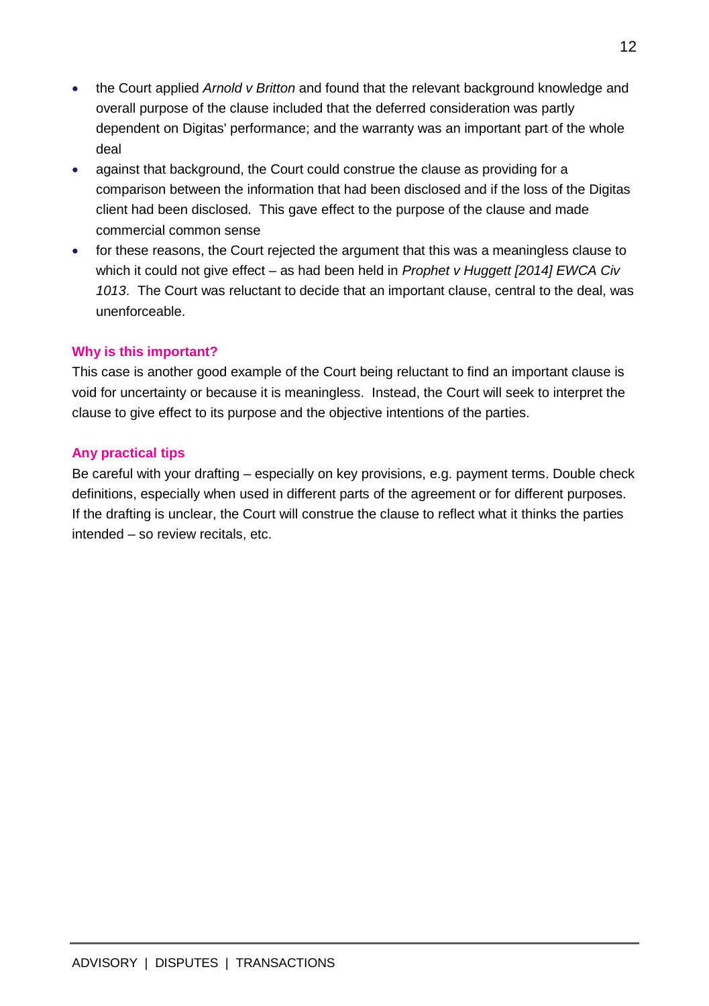- the Court applied *Arnold v Britton* and found that the relevant background knowledge and overall purpose of the clause included that the deferred consideration was partly dependent on Digitas' performance; and the warranty was an important part of the whole deal
- against that background, the Court could construe the clause as providing for a comparison between the information that had been disclosed and if the loss of the Digitas client had been disclosed. This gave effect to the purpose of the clause and made commercial common sense
- for these reasons, the Court rejected the argument that this was a meaningless clause to which it could not give effect – as had been held in *Prophet v Huggett [2014] EWCA Civ 1013*. The Court was reluctant to decide that an important clause, central to the deal, was unenforceable.

### **Why is this important?**

This case is another good example of the Court being reluctant to find an important clause is void for uncertainty or because it is meaningless. Instead, the Court will seek to interpret the clause to give effect to its purpose and the objective intentions of the parties.

### **Any practical tips**

Be careful with your drafting – especially on key provisions, e.g. payment terms. Double check definitions, especially when used in different parts of the agreement or for different purposes. If the drafting is unclear, the Court will construe the clause to reflect what it thinks the parties intended – so review recitals, etc.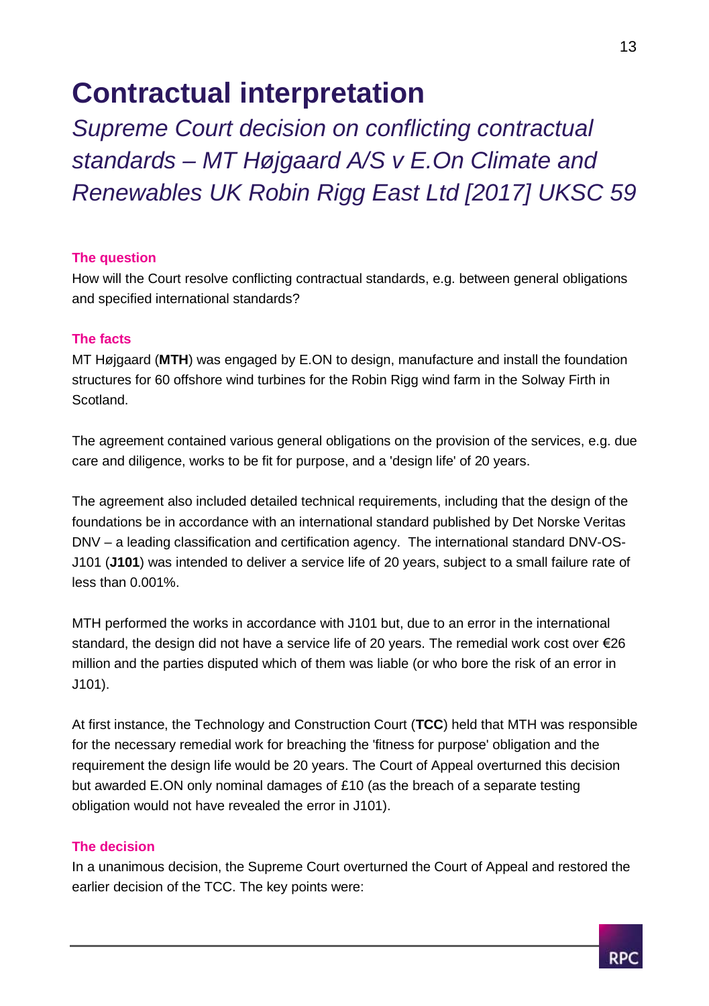## **Contractual interpretation**

*Supreme Court decision on conflicting contractual standards – MT Højgaard A/S v E.On Climate and Renewables UK Robin Rigg East Ltd [2017] UKSC 59*

### **The question**

How will the Court resolve conflicting contractual standards, e.g. between general obligations and specified international standards?

### **The facts**

MT Højgaard (**MTH**) was engaged by E.ON to design, manufacture and install the foundation structures for 60 offshore wind turbines for the Robin Rigg wind farm in the Solway Firth in Scotland.

The agreement contained various general obligations on the provision of the services, e.g. due care and diligence, works to be fit for purpose, and a 'design life' of 20 years.

The agreement also included detailed technical requirements, including that the design of the foundations be in accordance with an international standard published by Det Norske Veritas DNV – a leading classification and certification agency. The international standard DNV-OS-J101 (**J101**) was intended to deliver a service life of 20 years, subject to a small failure rate of less than 0.001%.

MTH performed the works in accordance with J101 but, due to an error in the international standard, the design did not have a service life of 20 years. The remedial work cost over €26 million and the parties disputed which of them was liable (or who bore the risk of an error in J101).

At first instance, the Technology and Construction Court (**TCC**) held that MTH was responsible for the necessary remedial work for breaching the 'fitness for purpose' obligation and the requirement the design life would be 20 years. The Court of Appeal overturned this decision but awarded E.ON only nominal damages of £10 (as the breach of a separate testing obligation would not have revealed the error in J101).

### **The decision**

In a unanimous decision, the Supreme Court overturned the Court of Appeal and restored the earlier decision of the TCC. The key points were:

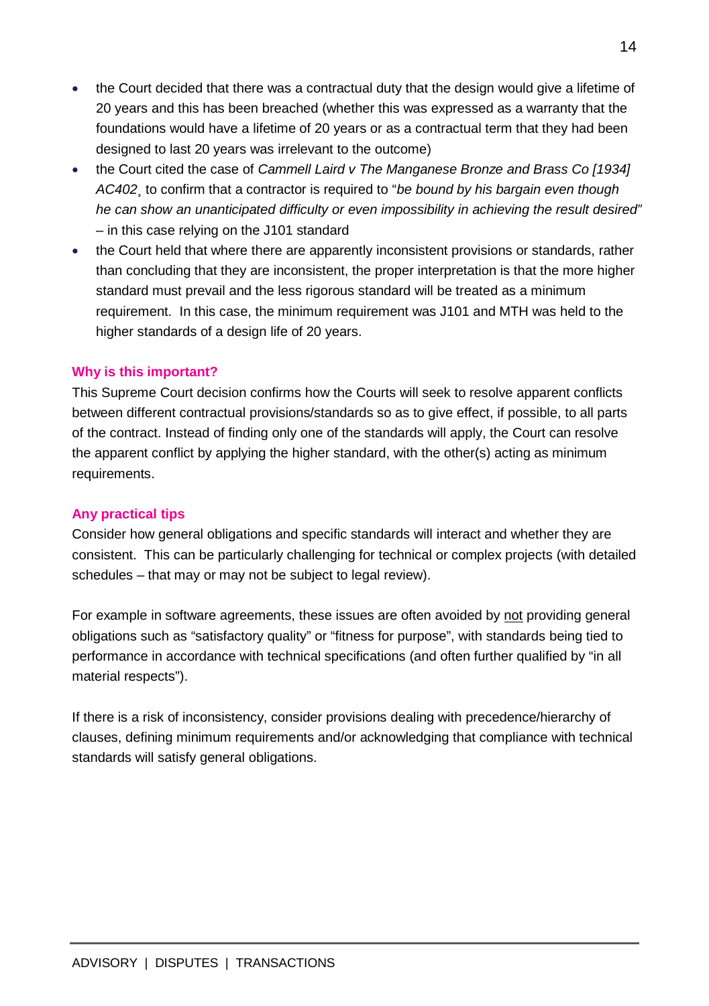- the Court decided that there was a contractual duty that the design would give a lifetime of 20 years and this has been breached (whether this was expressed as a warranty that the foundations would have a lifetime of 20 years or as a contractual term that they had been designed to last 20 years was irrelevant to the outcome)
- the Court cited the case of *Cammell Laird v The Manganese Bronze and Brass Co [1934] AC402*¸ to confirm that a contractor is required to "*be bound by his bargain even though he can show an unanticipated difficulty or even impossibility in achieving the result desired"* – in this case relying on the J101 standard
- the Court held that where there are apparently inconsistent provisions or standards, rather than concluding that they are inconsistent, the proper interpretation is that the more higher standard must prevail and the less rigorous standard will be treated as a minimum requirement. In this case, the minimum requirement was J101 and MTH was held to the higher standards of a design life of 20 years.

### **Why is this important?**

This Supreme Court decision confirms how the Courts will seek to resolve apparent conflicts between different contractual provisions/standards so as to give effect, if possible, to all parts of the contract. Instead of finding only one of the standards will apply, the Court can resolve the apparent conflict by applying the higher standard, with the other(s) acting as minimum requirements.

### **Any practical tips**

Consider how general obligations and specific standards will interact and whether they are consistent. This can be particularly challenging for technical or complex projects (with detailed schedules – that may or may not be subject to legal review).

For example in software agreements, these issues are often avoided by not providing general obligations such as "satisfactory quality" or "fitness for purpose", with standards being tied to performance in accordance with technical specifications (and often further qualified by "in all material respects").

If there is a risk of inconsistency, consider provisions dealing with precedence/hierarchy of clauses, defining minimum requirements and/or acknowledging that compliance with technical standards will satisfy general obligations.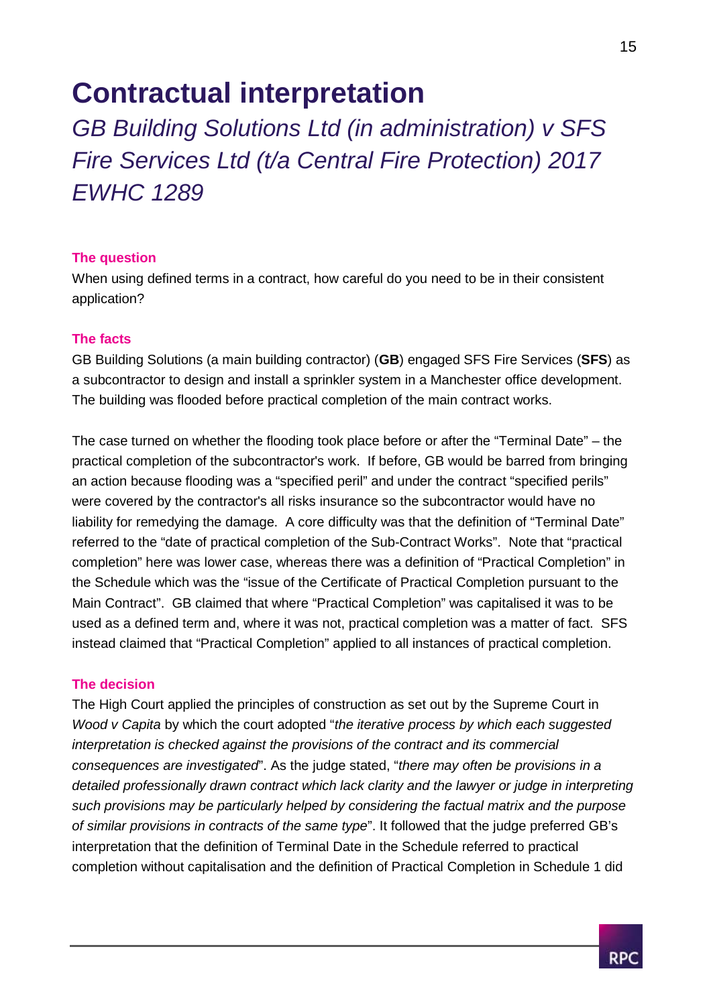### **Contractual interpretation**

*GB Building Solutions Ltd (in administration) v SFS Fire Services Ltd (t/a Central Fire Protection) 2017 EWHC 1289*

### **The question**

When using defined terms in a contract, how careful do you need to be in their consistent application?

### **The facts**

GB Building Solutions (a main building contractor) (**GB**) engaged SFS Fire Services (**SFS**) as a subcontractor to design and install a sprinkler system in a Manchester office development. The building was flooded before practical completion of the main contract works.

The case turned on whether the flooding took place before or after the "Terminal Date" – the practical completion of the subcontractor's work. If before, GB would be barred from bringing an action because flooding was a "specified peril" and under the contract "specified perils" were covered by the contractor's all risks insurance so the subcontractor would have no liability for remedying the damage. A core difficulty was that the definition of "Terminal Date" referred to the "date of practical completion of the Sub-Contract Works". Note that "practical completion" here was lower case, whereas there was a definition of "Practical Completion" in the Schedule which was the "issue of the Certificate of Practical Completion pursuant to the Main Contract". GB claimed that where "Practical Completion" was capitalised it was to be used as a defined term and, where it was not, practical completion was a matter of fact. SFS instead claimed that "Practical Completion" applied to all instances of practical completion.

### **The decision**

The High Court applied the principles of construction as set out by the Supreme Court in *Wood v Capita* by which the court adopted "*the iterative process by which each suggested interpretation is checked against the provisions of the contract and its commercial consequences are investigated*". As the judge stated, "*there may often be provisions in a detailed professionally drawn contract which lack clarity and the lawyer or judge in interpreting such provisions may be particularly helped by considering the factual matrix and the purpose of similar provisions in contracts of the same type*". It followed that the judge preferred GB's interpretation that the definition of Terminal Date in the Schedule referred to practical completion without capitalisation and the definition of Practical Completion in Schedule 1 did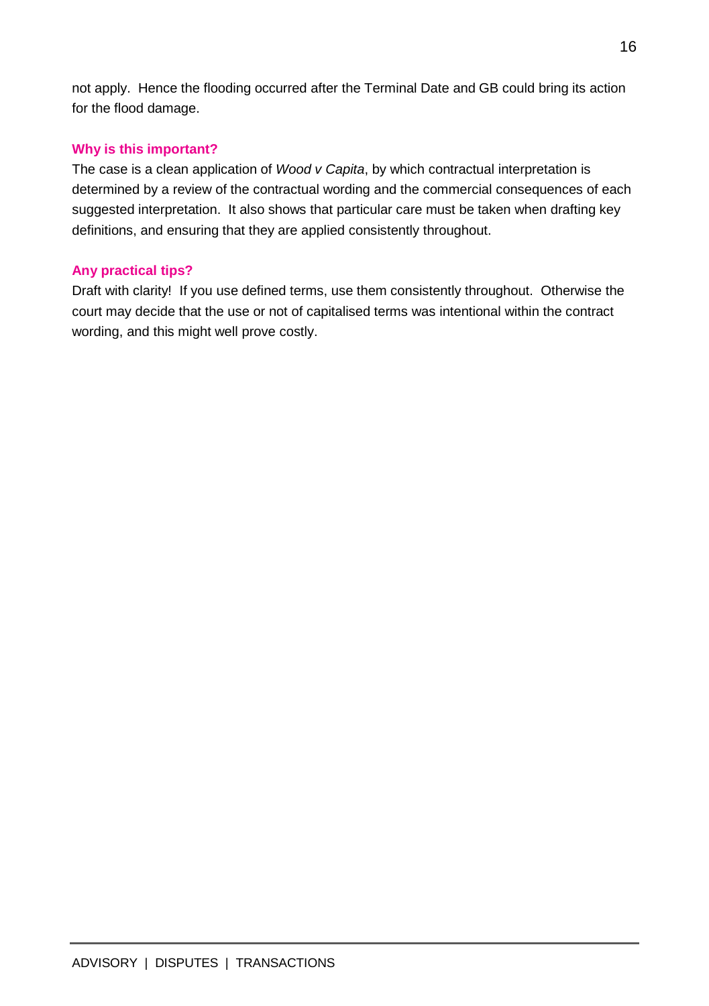not apply. Hence the flooding occurred after the Terminal Date and GB could bring its action for the flood damage.

### **Why is this important?**

The case is a clean application of *Wood v Capita*, by which contractual interpretation is determined by a review of the contractual wording and the commercial consequences of each suggested interpretation. It also shows that particular care must be taken when drafting key definitions, and ensuring that they are applied consistently throughout.

### **Any practical tips?**

Draft with clarity! If you use defined terms, use them consistently throughout. Otherwise the court may decide that the use or not of capitalised terms was intentional within the contract wording, and this might well prove costly.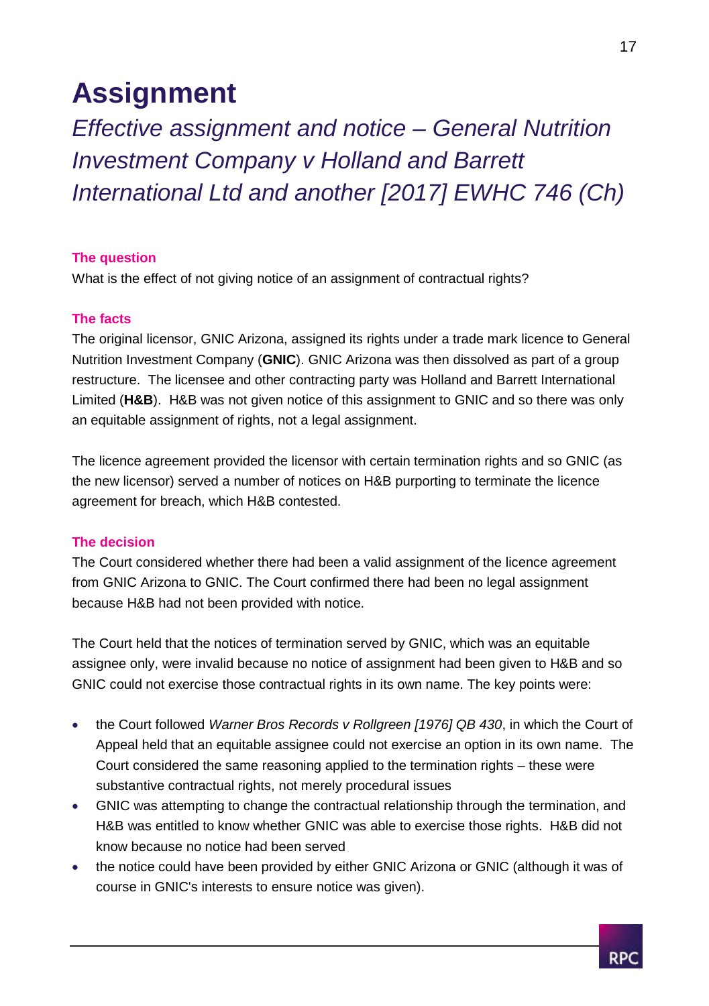## **Assignment**

*Effective assignment and notice – General Nutrition Investment Company v Holland and Barrett International Ltd and another [2017] EWHC 746 (Ch)*

### **The question**

What is the effect of not giving notice of an assignment of contractual rights?

### **The facts**

The original licensor, GNIC Arizona, assigned its rights under a trade mark licence to General Nutrition Investment Company (**GNIC**). GNIC Arizona was then dissolved as part of a group restructure. The licensee and other contracting party was Holland and Barrett International Limited (**H&B**). H&B was not given notice of this assignment to GNIC and so there was only an equitable assignment of rights, not a legal assignment.

The licence agreement provided the licensor with certain termination rights and so GNIC (as the new licensor) served a number of notices on H&B purporting to terminate the licence agreement for breach, which H&B contested.

### **The decision**

The Court considered whether there had been a valid assignment of the licence agreement from GNIC Arizona to GNIC. The Court confirmed there had been no legal assignment because H&B had not been provided with notice.

The Court held that the notices of termination served by GNIC, which was an equitable assignee only, were invalid because no notice of assignment had been given to H&B and so GNIC could not exercise those contractual rights in its own name. The key points were:

- the Court followed *Warner Bros Records v Rollgreen [1976] QB 430*, in which the Court of Appeal held that an equitable assignee could not exercise an option in its own name. The Court considered the same reasoning applied to the termination rights – these were substantive contractual rights, not merely procedural issues
- GNIC was attempting to change the contractual relationship through the termination, and H&B was entitled to know whether GNIC was able to exercise those rights. H&B did not know because no notice had been served
- the notice could have been provided by either GNIC Arizona or GNIC (although it was of course in GNIC's interests to ensure notice was given).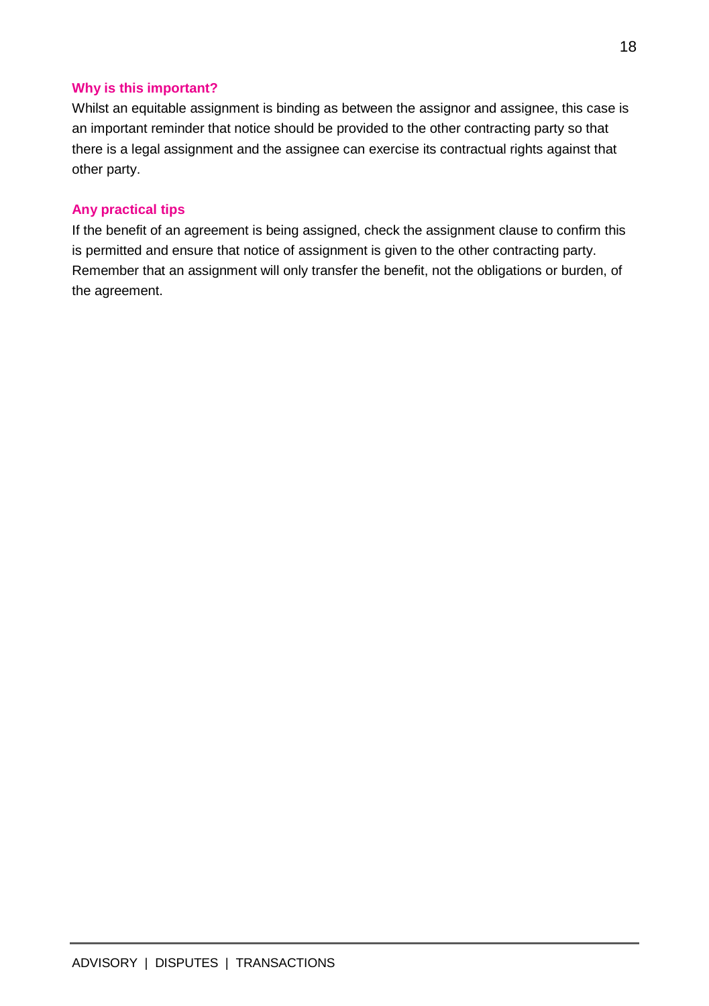### **Why is this important?**

Whilst an equitable assignment is binding as between the assignor and assignee, this case is an important reminder that notice should be provided to the other contracting party so that there is a legal assignment and the assignee can exercise its contractual rights against that other party.

### **Any practical tips**

If the benefit of an agreement is being assigned, check the assignment clause to confirm this is permitted and ensure that notice of assignment is given to the other contracting party. Remember that an assignment will only transfer the benefit, not the obligations or burden, of the agreement.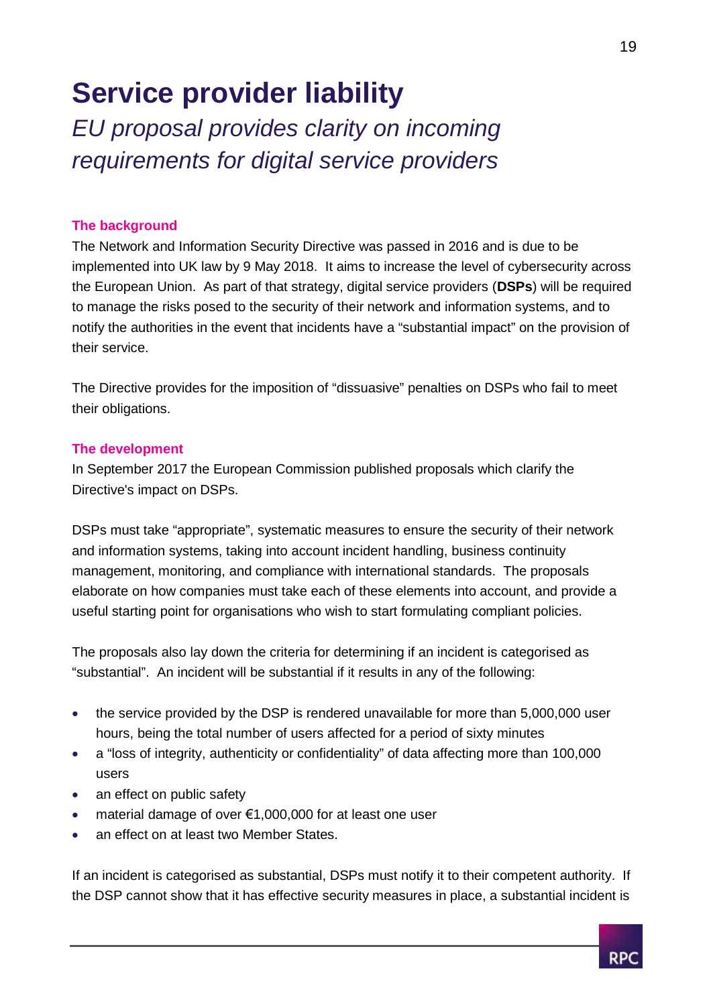# **Service provider liability**

*EU proposal provides clarity on incoming requirements for digital service providers*

### **The background**

The Network and Information Security Directive was passed in 2016 and is due to be implemented into UK law by 9 May 2018. It aims to increase the level of cybersecurity across the European Union. As part of that strategy, digital service providers (**DSPs**) will be required to manage the risks posed to the security of their network and information systems, and to notify the authorities in the event that incidents have a "substantial impact" on the provision of their service.

The Directive provides for the imposition of "dissuasive" penalties on DSPs who fail to meet their obligations.

### **The development**

In September 2017 the European Commission published proposals which clarify the Directive's impact on DSPs.

DSPs must take "appropriate", systematic measures to ensure the security of their network and information systems, taking into account incident handling, business continuity management, monitoring, and compliance with international standards. The proposals elaborate on how companies must take each of these elements into account, and provide a useful starting point for organisations who wish to start formulating compliant policies.

The proposals also lay down the criteria for determining if an incident is categorised as "substantial". An incident will be substantial if it results in any of the following:

- the service provided by the DSP is rendered unavailable for more than 5,000,000 user hours, being the total number of users affected for a period of sixty minutes
- a "loss of integrity, authenticity or confidentiality" of data affecting more than 100,000 users
- an effect on public safety
- material damage of over €1,000,000 for at least one user
- an effect on at least two Member States.

If an incident is categorised as substantial, DSPs must notify it to their competent authority. If the DSP cannot show that it has effective security measures in place, a substantial incident is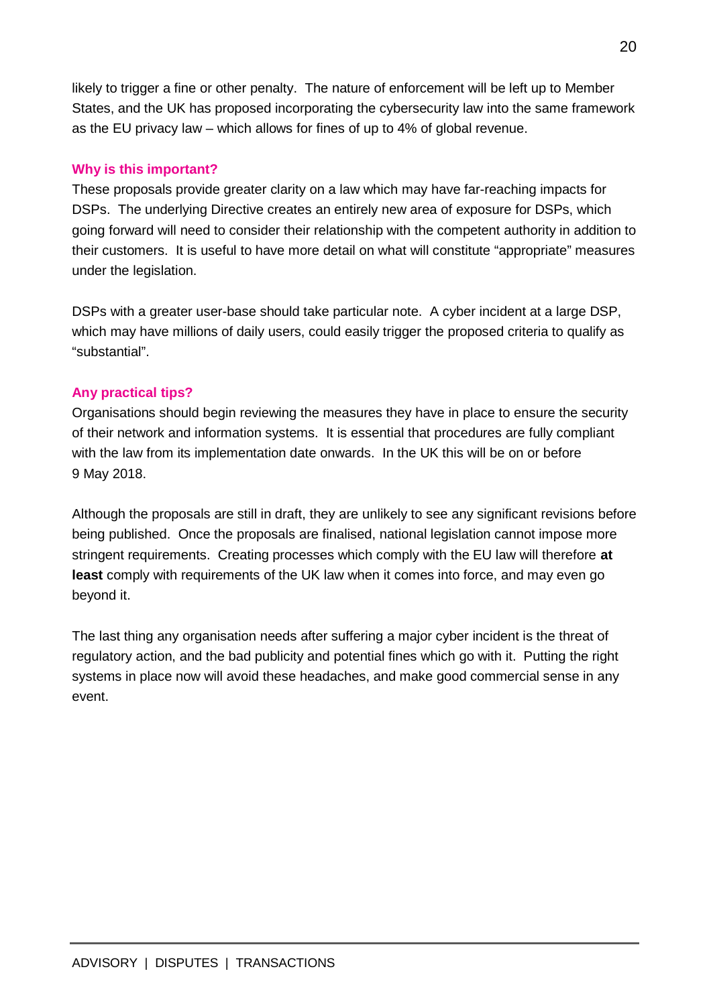likely to trigger a fine or other penalty. The nature of enforcement will be left up to Member States, and the UK has proposed incorporating the cybersecurity law into the same framework as the EU privacy law – which allows for fines of up to 4% of global revenue.

### **Why is this important?**

These proposals provide greater clarity on a law which may have far-reaching impacts for DSPs. The underlying Directive creates an entirely new area of exposure for DSPs, which going forward will need to consider their relationship with the competent authority in addition to their customers. It is useful to have more detail on what will constitute "appropriate" measures under the legislation.

DSPs with a greater user-base should take particular note. A cyber incident at a large DSP, which may have millions of daily users, could easily trigger the proposed criteria to qualify as "substantial".

### **Any practical tips?**

Organisations should begin reviewing the measures they have in place to ensure the security of their network and information systems. It is essential that procedures are fully compliant with the law from its implementation date onwards. In the UK this will be on or before 9 May 2018.

Although the proposals are still in draft, they are unlikely to see any significant revisions before being published. Once the proposals are finalised, national legislation cannot impose more stringent requirements. Creating processes which comply with the EU law will therefore **at least** comply with requirements of the UK law when it comes into force, and may even go beyond it.

The last thing any organisation needs after suffering a major cyber incident is the threat of regulatory action, and the bad publicity and potential fines which go with it. Putting the right systems in place now will avoid these headaches, and make good commercial sense in any event.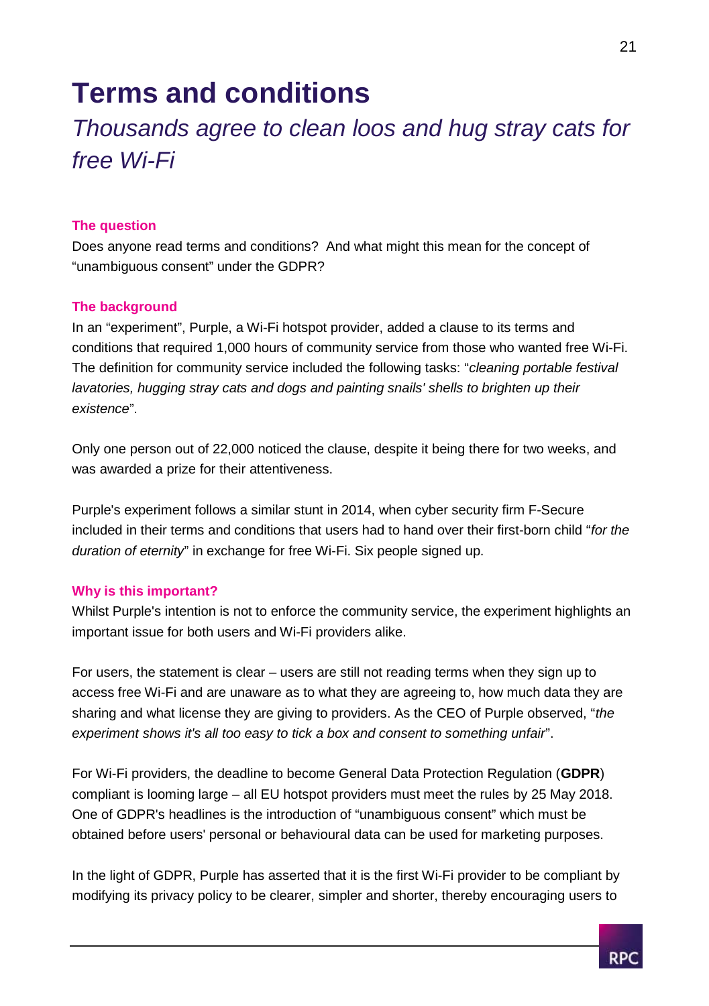### **Terms and conditions**

### *Thousands agree to clean loos and hug stray cats for free Wi-Fi*

### **The question**

Does anyone read terms and conditions? And what might this mean for the concept of "unambiguous consent" under the GDPR?

### **The background**

In an "experiment", Purple, a Wi-Fi hotspot provider, added a clause to its terms and conditions that required 1,000 hours of community service from those who wanted free Wi-Fi. The definition for community service included the following tasks: "*cleaning portable festival lavatories, hugging stray cats and dogs and painting snails' shells to brighten up their existence*".

Only one person out of 22,000 noticed the clause, despite it being there for two weeks, and was awarded a prize for their attentiveness.

Purple's experiment follows a similar stunt in 2014, when cyber security firm F-Secure included in their terms and conditions that users had to hand over their first-born child "*for the duration of eternity*" in exchange for free Wi-Fi. Six people signed up.

### **Why is this important?**

Whilst Purple's intention is not to enforce the community service, the experiment highlights an important issue for both users and Wi-Fi providers alike.

For users, the statement is clear – users are still not reading terms when they sign up to access free Wi-Fi and are unaware as to what they are agreeing to, how much data they are sharing and what license they are giving to providers. As the CEO of Purple observed, "*the experiment shows it's all too easy to tick a box and consent to something unfair*".

For Wi-Fi providers, the deadline to become General Data Protection Regulation (**GDPR**) compliant is looming large – all EU hotspot providers must meet the rules by 25 May 2018. One of GDPR's headlines is the introduction of "unambiguous consent" which must be obtained before users' personal or behavioural data can be used for marketing purposes.

In the light of GDPR, Purple has asserted that it is the first Wi-Fi provider to be compliant by modifying its privacy policy to be clearer, simpler and shorter, thereby encouraging users to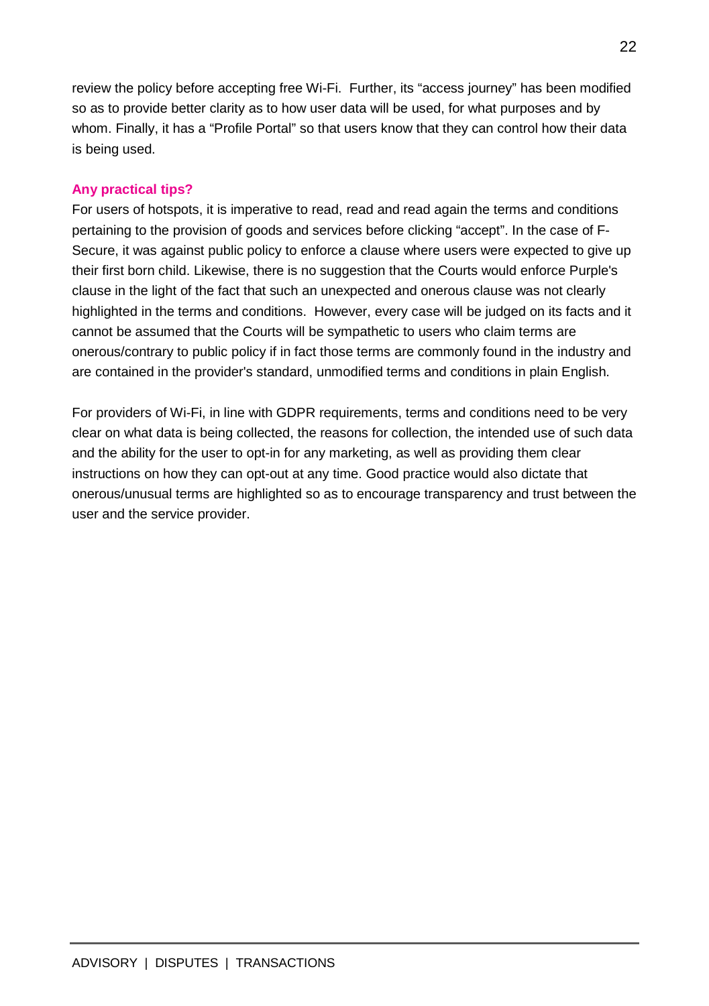review the policy before accepting free Wi-Fi. Further, its "access journey" has been modified so as to provide better clarity as to how user data will be used, for what purposes and by whom. Finally, it has a "Profile Portal" so that users know that they can control how their data is being used.

### **Any practical tips?**

For users of hotspots, it is imperative to read, read and read again the terms and conditions pertaining to the provision of goods and services before clicking "accept". In the case of F-Secure, it was against public policy to enforce a clause where users were expected to give up their first born child. Likewise, there is no suggestion that the Courts would enforce Purple's clause in the light of the fact that such an unexpected and onerous clause was not clearly highlighted in the terms and conditions. However, every case will be judged on its facts and it cannot be assumed that the Courts will be sympathetic to users who claim terms are onerous/contrary to public policy if in fact those terms are commonly found in the industry and are contained in the provider's standard, unmodified terms and conditions in plain English.

For providers of Wi-Fi, in line with GDPR requirements, terms and conditions need to be very clear on what data is being collected, the reasons for collection, the intended use of such data and the ability for the user to opt-in for any marketing, as well as providing them clear instructions on how they can opt-out at any time. Good practice would also dictate that onerous/unusual terms are highlighted so as to encourage transparency and trust between the user and the service provider.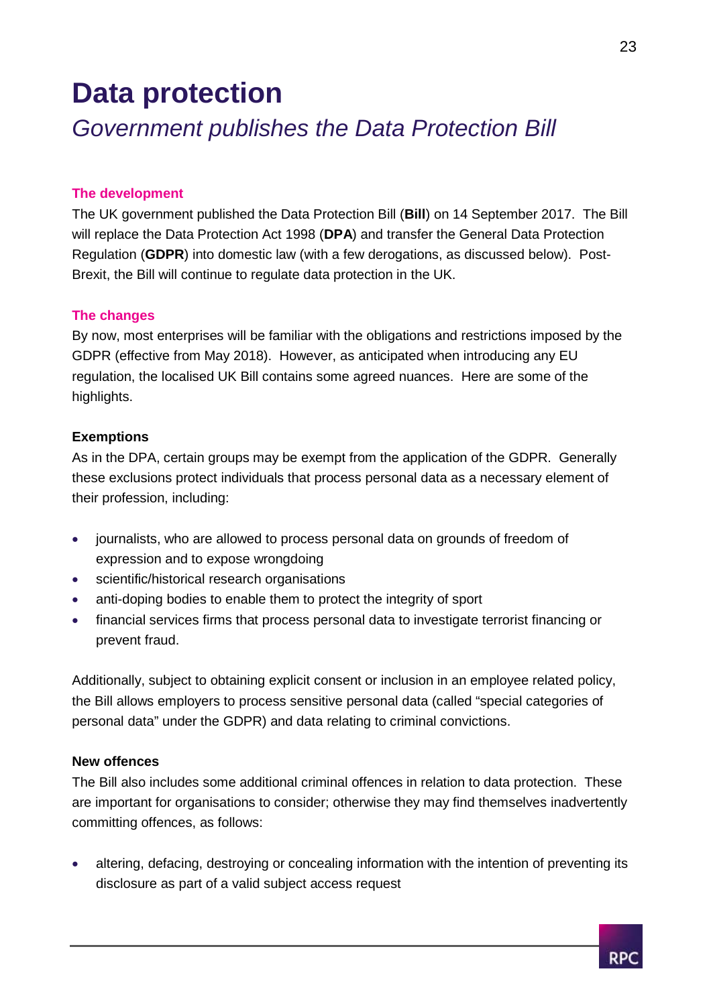## **Data protection**

### *Government publishes the Data Protection Bill*

#### **The development**

The UK government published the Data Protection Bill (**Bill**) on 14 September 2017. The Bill will replace the Data Protection Act 1998 (**DPA**) and transfer the General Data Protection Regulation (**GDPR**) into domestic law (with a few derogations, as discussed below). Post-Brexit, the Bill will continue to regulate data protection in the UK.

### **The changes**

By now, most enterprises will be familiar with the obligations and restrictions imposed by the GDPR (effective from May 2018). However, as anticipated when introducing any EU regulation, the localised UK Bill contains some agreed nuances. Here are some of the highlights.

### **Exemptions**

As in the DPA, certain groups may be exempt from the application of the GDPR. Generally these exclusions protect individuals that process personal data as a necessary element of their profession, including:

- journalists, who are allowed to process personal data on grounds of freedom of expression and to expose wrongdoing
- scientific/historical research organisations
- anti-doping bodies to enable them to protect the integrity of sport
- financial services firms that process personal data to investigate terrorist financing or prevent fraud.

Additionally, subject to obtaining explicit consent or inclusion in an employee related policy, the Bill allows employers to process sensitive personal data (called "special categories of personal data" under the GDPR) and data relating to criminal convictions.

### **New offences**

The Bill also includes some additional criminal offences in relation to data protection. These are important for organisations to consider; otherwise they may find themselves inadvertently committing offences, as follows:

 altering, defacing, destroying or concealing information with the intention of preventing its disclosure as part of a valid subject access request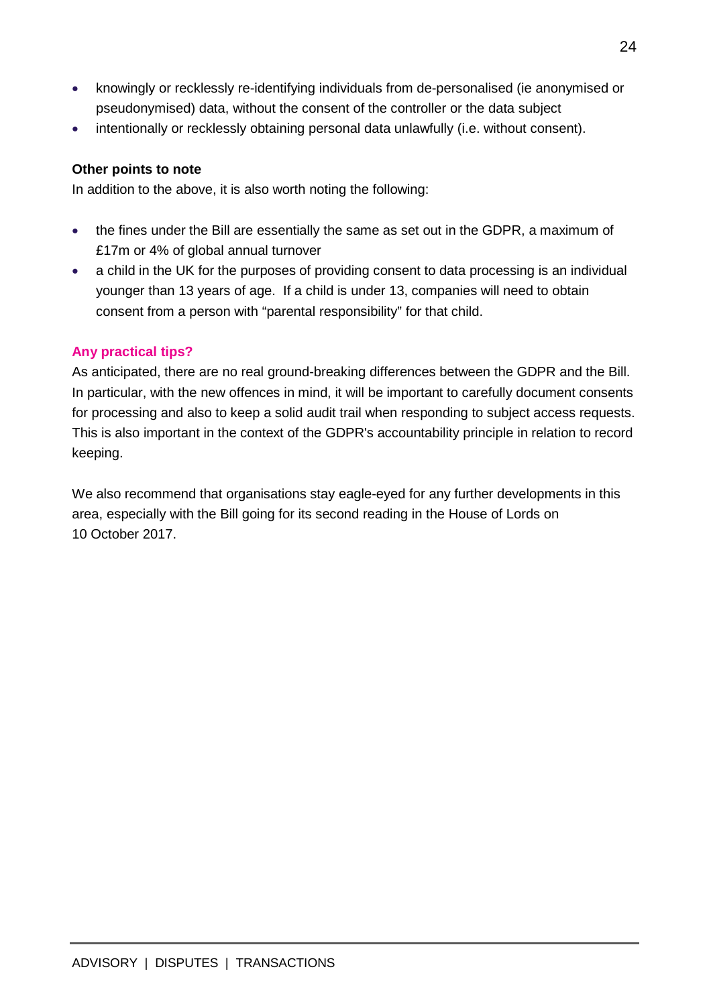- knowingly or recklessly re-identifying individuals from de-personalised (ie anonymised or pseudonymised) data, without the consent of the controller or the data subject
- intentionally or recklessly obtaining personal data unlawfully (i.e. without consent).

### **Other points to note**

In addition to the above, it is also worth noting the following:

- the fines under the Bill are essentially the same as set out in the GDPR, a maximum of £17m or 4% of global annual turnover
- a child in the UK for the purposes of providing consent to data processing is an individual younger than 13 years of age. If a child is under 13, companies will need to obtain consent from a person with "parental responsibility" for that child.

### **Any practical tips?**

As anticipated, there are no real ground-breaking differences between the GDPR and the Bill. In particular, with the new offences in mind, it will be important to carefully document consents for processing and also to keep a solid audit trail when responding to subject access requests. This is also important in the context of the GDPR's accountability principle in relation to record keeping.

We also recommend that organisations stay eagle-eyed for any further developments in this area, especially with the Bill going for its second reading in the House of Lords on 10 October 2017.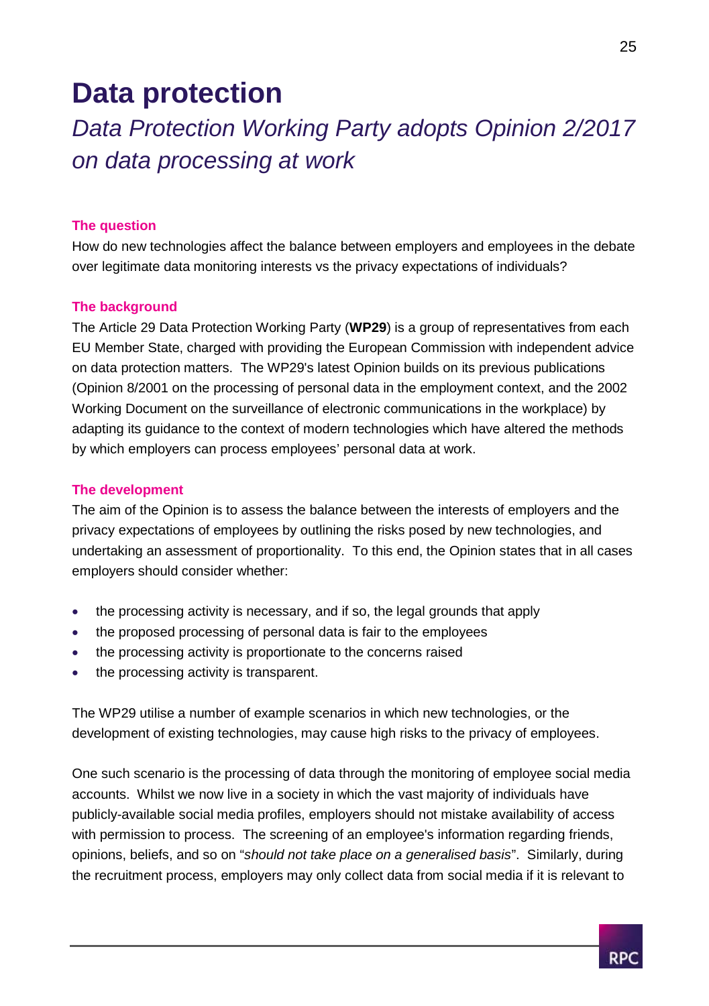## **Data protection**

*Data Protection Working Party adopts Opinion 2/2017 on data processing at work*

### **The question**

How do new technologies affect the balance between employers and employees in the debate over legitimate data monitoring interests vs the privacy expectations of individuals?

### **The background**

The Article 29 Data Protection Working Party (**WP29**) is a group of representatives from each EU Member State, charged with providing the European Commission with independent advice on data protection matters. The WP29's latest Opinion builds on its previous publications (Opinion 8/2001 on the processing of personal data in the employment context, and the 2002 Working Document on the surveillance of electronic communications in the workplace) by adapting its guidance to the context of modern technologies which have altered the methods by which employers can process employees' personal data at work.

#### **The development**

The aim of the Opinion is to assess the balance between the interests of employers and the privacy expectations of employees by outlining the risks posed by new technologies, and undertaking an assessment of proportionality. To this end, the Opinion states that in all cases employers should consider whether:

- the processing activity is necessary, and if so, the legal grounds that apply
- the proposed processing of personal data is fair to the employees
- the processing activity is proportionate to the concerns raised
- the processing activity is transparent.

The WP29 utilise a number of example scenarios in which new technologies, or the development of existing technologies, may cause high risks to the privacy of employees.

One such scenario is the processing of data through the monitoring of employee social media accounts. Whilst we now live in a society in which the vast majority of individuals have publicly-available social media profiles, employers should not mistake availability of access with permission to process. The screening of an employee's information regarding friends, opinions, beliefs, and so on "*should not take place on a generalised basis*". Similarly, during the recruitment process, employers may only collect data from social media if it is relevant to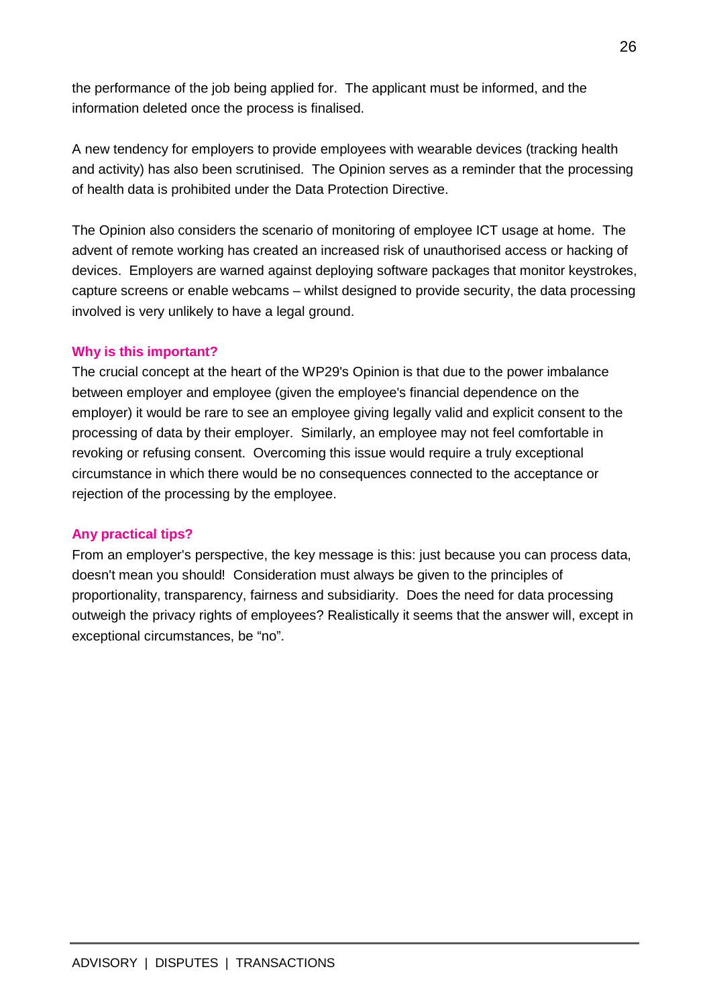the performance of the job being applied for. The applicant must be informed, and the information deleted once the process is finalised.

A new tendency for employers to provide employees with wearable devices (tracking health and activity) has also been scrutinised. The Opinion serves as a reminder that the processing of health data is prohibited under the Data Protection Directive.

The Opinion also considers the scenario of monitoring of employee ICT usage at home. The advent of remote working has created an increased risk of unauthorised access or hacking of devices. Employers are warned against deploying software packages that monitor keystrokes, capture screens or enable webcams – whilst designed to provide security, the data processing involved is very unlikely to have a legal ground.

### **Why is this important?**

The crucial concept at the heart of the WP29's Opinion is that due to the power imbalance between employer and employee (given the employee's financial dependence on the employer) it would be rare to see an employee giving legally valid and explicit consent to the processing of data by their employer. Similarly, an employee may not feel comfortable in revoking or refusing consent. Overcoming this issue would require a truly exceptional circumstance in which there would be no consequences connected to the acceptance or rejection of the processing by the employee.

### **Any practical tips?**

From an employer's perspective, the key message is this: just because you can process data, doesn't mean you should! Consideration must always be given to the principles of proportionality, transparency, fairness and subsidiarity. Does the need for data processing outweigh the privacy rights of employees? Realistically it seems that the answer will, except in exceptional circumstances, be "no".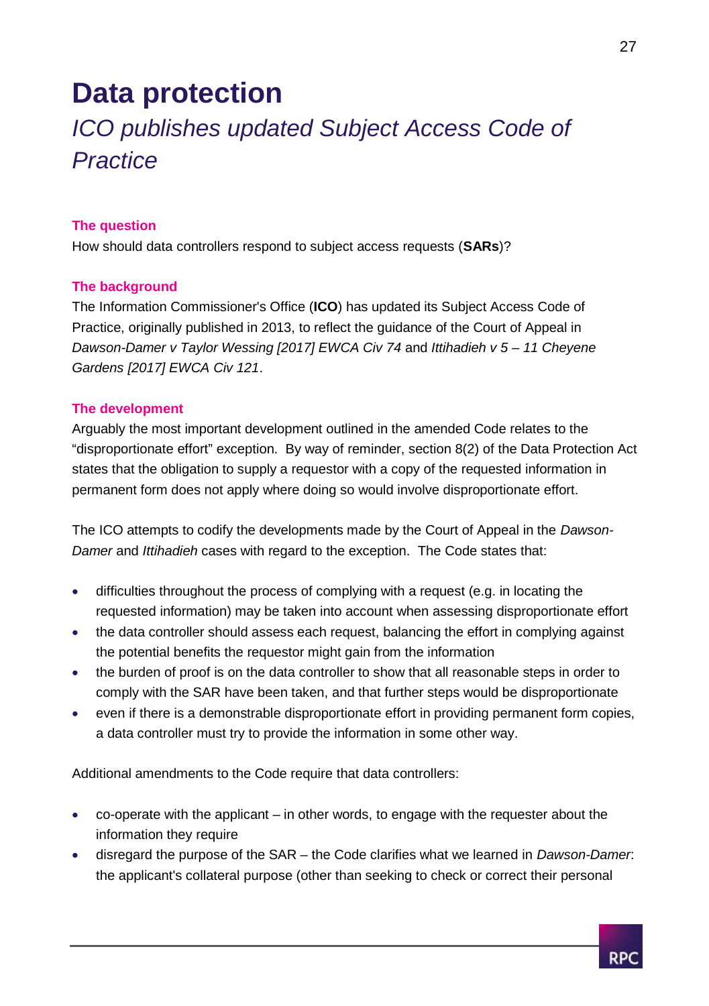## **Data protection**

### *ICO publishes updated Subject Access Code of Practice*

### **The question**

How should data controllers respond to subject access requests (**SARs**)?

### **The background**

The Information Commissioner's Office (**ICO**) has updated its Subject Access Code of Practice, originally published in 2013, to reflect the guidance of the Court of Appeal in *Dawson-Damer v Taylor Wessing [2017] EWCA Civ 74* and *Ittihadieh v 5 – 11 Cheyene Gardens [2017] EWCA Civ 121*.

### **The development**

Arguably the most important development outlined in the amended Code relates to the "disproportionate effort" exception. By way of reminder, section 8(2) of the Data Protection Act states that the obligation to supply a requestor with a copy of the requested information in permanent form does not apply where doing so would involve disproportionate effort.

The ICO attempts to codify the developments made by the Court of Appeal in the *Dawson-Damer* and *Ittihadieh* cases with regard to the exception. The Code states that:

- difficulties throughout the process of complying with a request (e.g. in locating the requested information) may be taken into account when assessing disproportionate effort
- the data controller should assess each request, balancing the effort in complying against the potential benefits the requestor might gain from the information
- the burden of proof is on the data controller to show that all reasonable steps in order to comply with the SAR have been taken, and that further steps would be disproportionate
- even if there is a demonstrable disproportionate effort in providing permanent form copies, a data controller must try to provide the information in some other way.

Additional amendments to the Code require that data controllers:

- co-operate with the applicant in other words, to engage with the requester about the information they require
- disregard the purpose of the SAR the Code clarifies what we learned in *Dawson-Damer*: the applicant's collateral purpose (other than seeking to check or correct their personal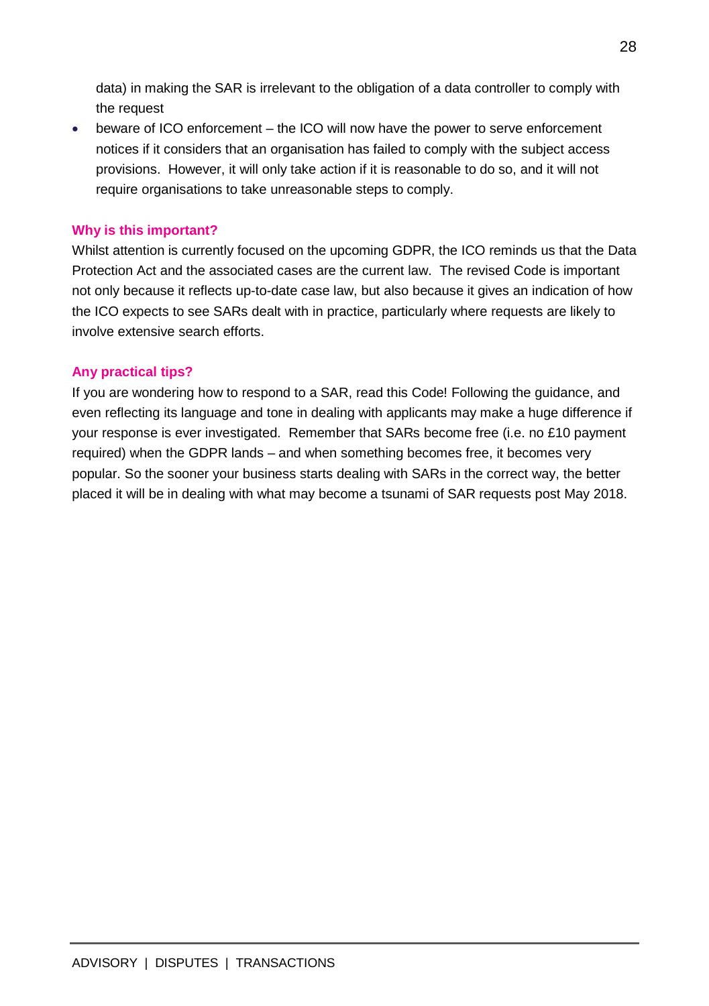data) in making the SAR is irrelevant to the obligation of a data controller to comply with the request

 beware of ICO enforcement – the ICO will now have the power to serve enforcement notices if it considers that an organisation has failed to comply with the subject access provisions. However, it will only take action if it is reasonable to do so, and it will not require organisations to take unreasonable steps to comply.

### **Why is this important?**

Whilst attention is currently focused on the upcoming GDPR, the ICO reminds us that the Data Protection Act and the associated cases are the current law. The revised Code is important not only because it reflects up-to-date case law, but also because it gives an indication of how the ICO expects to see SARs dealt with in practice, particularly where requests are likely to involve extensive search efforts.

### **Any practical tips?**

If you are wondering how to respond to a SAR, read this Code! Following the guidance, and even reflecting its language and tone in dealing with applicants may make a huge difference if your response is ever investigated. Remember that SARs become free (i.e. no £10 payment required) when the GDPR lands – and when something becomes free, it becomes very popular. So the sooner your business starts dealing with SARs in the correct way, the better placed it will be in dealing with what may become a tsunami of SAR requests post May 2018.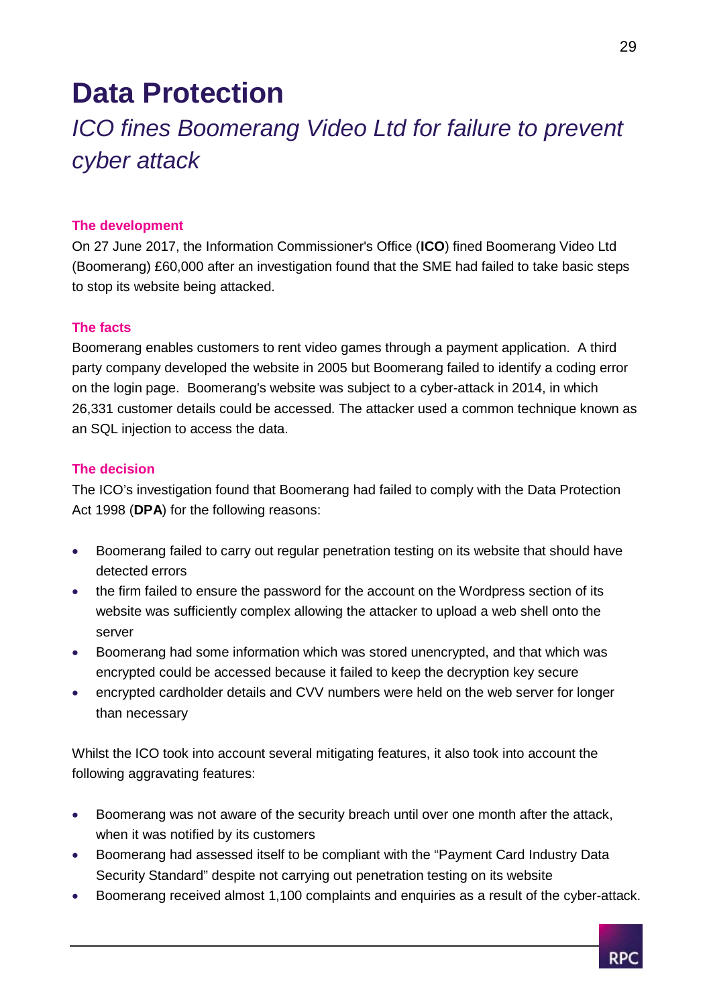## **Data Protection**

### *ICO fines Boomerang Video Ltd for failure to prevent cyber attack*

### **The development**

On 27 June 2017, the Information Commissioner's Office (**ICO**) fined Boomerang Video Ltd (Boomerang) £60,000 after an investigation found that the SME had failed to take basic steps to stop its website being attacked.

### **The facts**

Boomerang enables customers to rent video games through a payment application. A third party company developed the website in 2005 but Boomerang failed to identify a coding error on the login page. Boomerang's website was subject to a cyber-attack in 2014, in which 26,331 customer details could be accessed. The attacker used a common technique known as an SQL injection to access the data.

### **The decision**

The ICO's investigation found that Boomerang had failed to comply with the Data Protection Act 1998 (**DPA**) for the following reasons:

- Boomerang failed to carry out regular penetration testing on its website that should have detected errors
- the firm failed to ensure the password for the account on the Wordpress section of its website was sufficiently complex allowing the attacker to upload a web shell onto the server
- Boomerang had some information which was stored unencrypted, and that which was encrypted could be accessed because it failed to keep the decryption key secure
- encrypted cardholder details and CVV numbers were held on the web server for longer than necessary

Whilst the ICO took into account several mitigating features, it also took into account the following aggravating features:

- Boomerang was not aware of the security breach until over one month after the attack, when it was notified by its customers
- Boomerang had assessed itself to be compliant with the "Payment Card Industry Data Security Standard" despite not carrying out penetration testing on its website
- Boomerang received almost 1,100 complaints and enquiries as a result of the cyber-attack.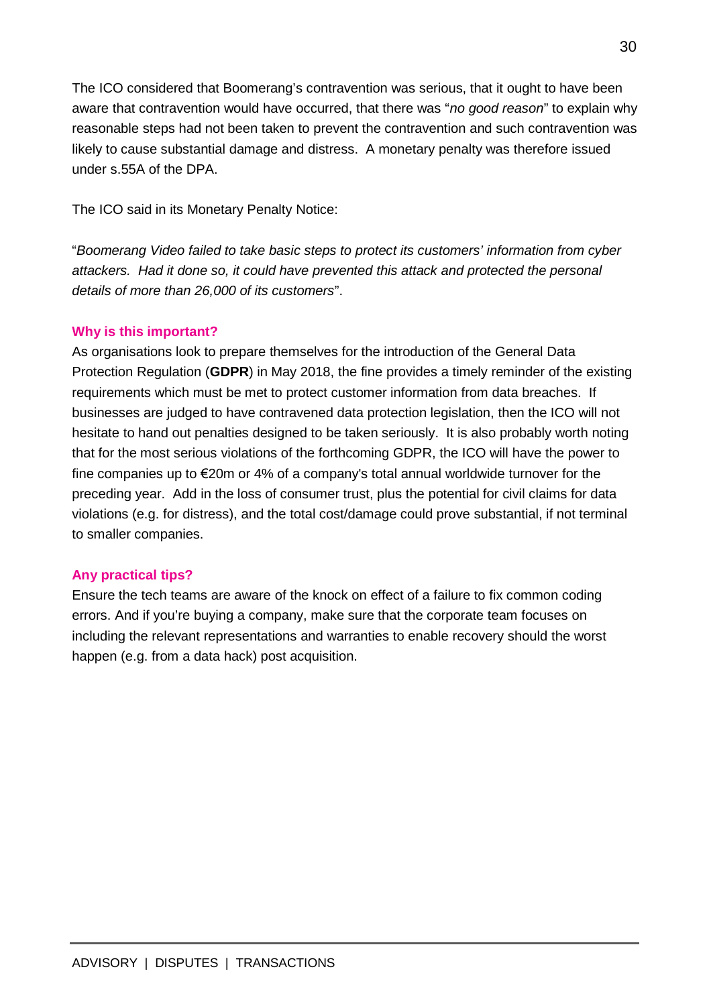The ICO considered that Boomerang's contravention was serious, that it ought to have been aware that contravention would have occurred, that there was "*no good reason*" to explain why reasonable steps had not been taken to prevent the contravention and such contravention was likely to cause substantial damage and distress. A monetary penalty was therefore issued under s.55A of the DPA.

The ICO said in its Monetary Penalty Notice:

"*Boomerang Video failed to take basic steps to protect its customers' information from cyber attackers. Had it done so, it could have prevented this attack and protected the personal details of more than 26,000 of its customers*".

### **Why is this important?**

As organisations look to prepare themselves for the introduction of the General Data Protection Regulation (**GDPR**) in May 2018, the fine provides a timely reminder of the existing requirements which must be met to protect customer information from data breaches. If businesses are judged to have contravened data protection legislation, then the ICO will not hesitate to hand out penalties designed to be taken seriously. It is also probably worth noting that for the most serious violations of the forthcoming GDPR, the ICO will have the power to fine companies up to €20m or 4% of a company's total annual worldwide turnover for the preceding year. Add in the loss of consumer trust, plus the potential for civil claims for data violations (e.g. for distress), and the total cost/damage could prove substantial, if not terminal to smaller companies.

### **Any practical tips?**

Ensure the tech teams are aware of the knock on effect of a failure to fix common coding errors. And if you're buying a company, make sure that the corporate team focuses on including the relevant representations and warranties to enable recovery should the worst happen (e.g. from a data hack) post acquisition.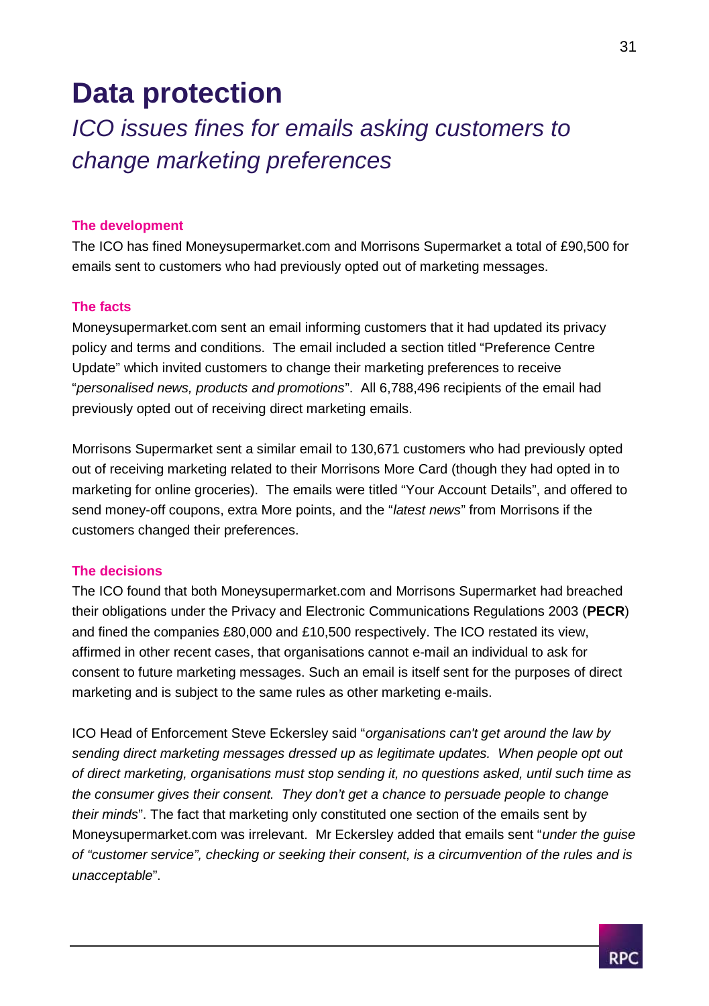## **Data protection**

### *ICO issues fines for emails asking customers to change marketing preferences*

#### **The development**

The ICO has fined Moneysupermarket.com and Morrisons Supermarket a total of £90,500 for emails sent to customers who had previously opted out of marketing messages.

### **The facts**

Moneysupermarket.com sent an email informing customers that it had updated its privacy policy and terms and conditions. The email included a section titled "Preference Centre Update" which invited customers to change their marketing preferences to receive "*personalised news, products and promotions*". All 6,788,496 recipients of the email had previously opted out of receiving direct marketing emails.

Morrisons Supermarket sent a similar email to 130,671 customers who had previously opted out of receiving marketing related to their Morrisons More Card (though they had opted in to marketing for online groceries). The emails were titled "Your Account Details", and offered to send money-off coupons, extra More points, and the "*latest news*" from Morrisons if the customers changed their preferences.

### **The decisions**

The ICO found that both Moneysupermarket.com and Morrisons Supermarket had breached their obligations under the Privacy and Electronic Communications Regulations 2003 (**PECR**) and fined the companies £80,000 and £10,500 respectively. The ICO restated its view, affirmed in other recent cases, that organisations cannot e-mail an individual to ask for consent to future marketing messages. Such an email is itself sent for the purposes of direct marketing and is subject to the same rules as other marketing e-mails.

ICO Head of Enforcement Steve Eckersley said "*organisations can't get around the law by sending direct marketing messages dressed up as legitimate updates. When people opt out of direct marketing, organisations must stop sending it, no questions asked, until such time as the consumer gives their consent. They don't get a chance to persuade people to change their minds*". The fact that marketing only constituted one section of the emails sent by Moneysupermarket.com was irrelevant. Mr Eckersley added that emails sent "*under the guise of "customer service", checking or seeking their consent, is a circumvention of the rules and is unacceptable*".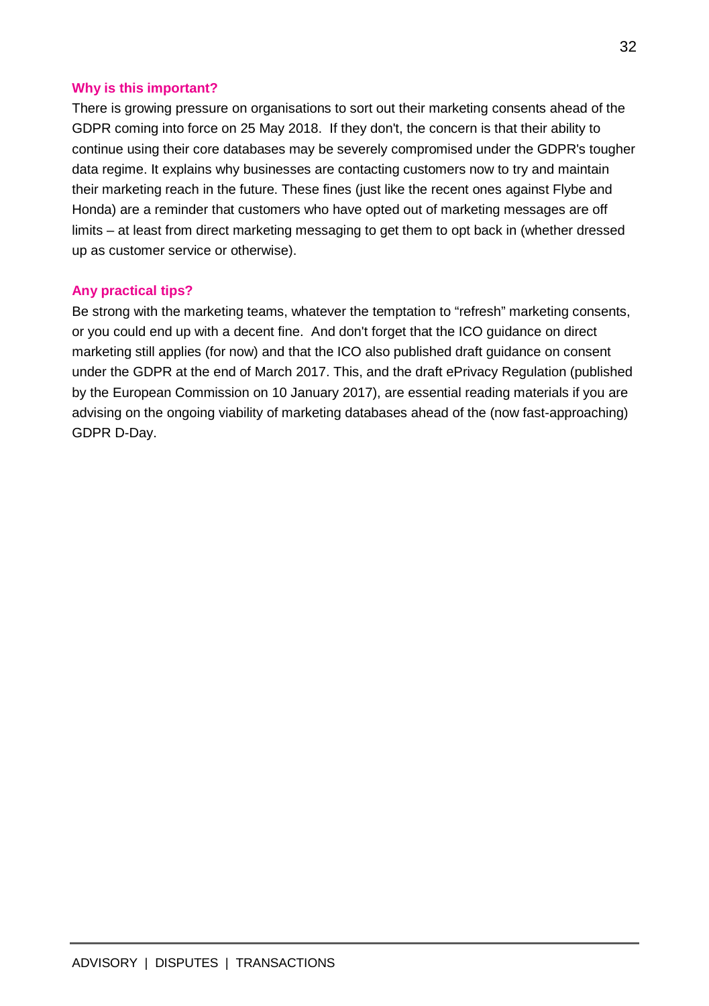### **Why is this important?**

There is growing pressure on organisations to sort out their marketing consents ahead of the GDPR coming into force on 25 May 2018. If they don't, the concern is that their ability to continue using their core databases may be severely compromised under the GDPR's tougher data regime. It explains why businesses are contacting customers now to try and maintain their marketing reach in the future. These fines (just like the recent ones against Flybe and Honda) are a reminder that customers who have opted out of marketing messages are off limits – at least from direct marketing messaging to get them to opt back in (whether dressed up as customer service or otherwise).

### **Any practical tips?**

Be strong with the marketing teams, whatever the temptation to "refresh" marketing consents, or you could end up with a decent fine. And don't forget that the ICO guidance on direct marketing still applies (for now) and that the ICO also published draft guidance on consent under the GDPR at the end of March 2017. This, and the draft ePrivacy Regulation (published by the European Commission on 10 January 2017), are essential reading materials if you are advising on the ongoing viability of marketing databases ahead of the (now fast-approaching) GDPR D-Day.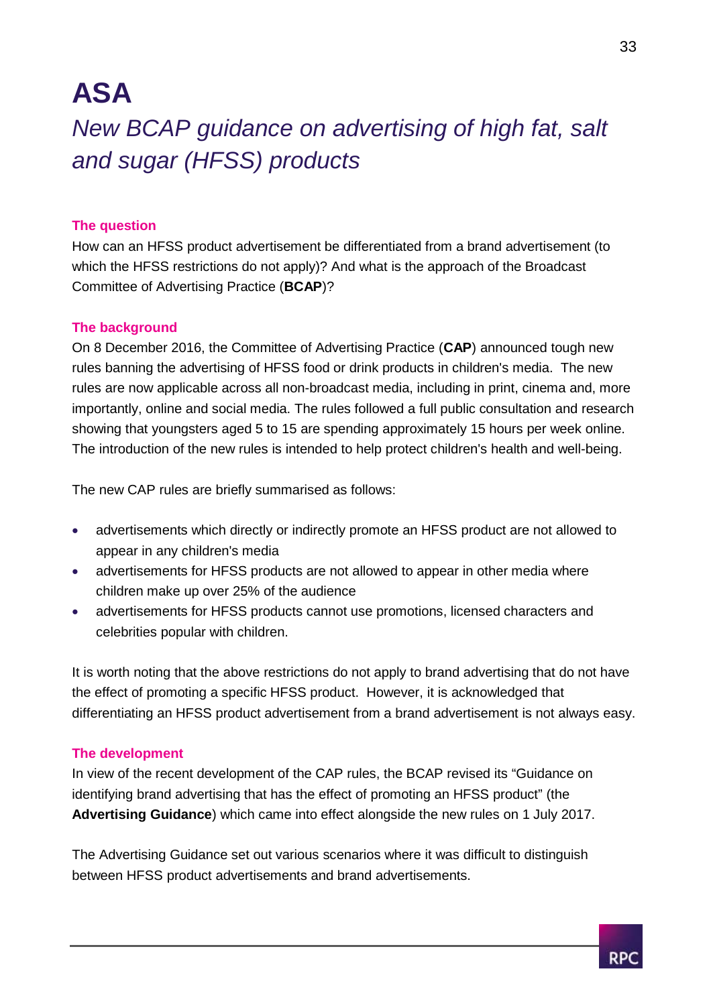## **ASA**

*New BCAP guidance on advertising of high fat, salt and sugar (HFSS) products*

### **The question**

How can an HFSS product advertisement be differentiated from a brand advertisement (to which the HFSS restrictions do not apply)? And what is the approach of the Broadcast Committee of Advertising Practice (**BCAP**)?

### **The background**

On 8 December 2016, the Committee of Advertising Practice (**CAP**) announced tough new rules banning the advertising of HFSS food or drink products in children's media. The new rules are now applicable across all non-broadcast media, including in print, cinema and, more importantly, online and social media. The rules followed a full public consultation and research showing that youngsters aged 5 to 15 are spending approximately 15 hours per week online. The introduction of the new rules is intended to help protect children's health and well-being.

The new CAP rules are briefly summarised as follows:

- advertisements which directly or indirectly promote an HFSS product are not allowed to appear in any children's media
- advertisements for HFSS products are not allowed to appear in other media where children make up over 25% of the audience
- advertisements for HFSS products cannot use promotions, licensed characters and celebrities popular with children.

It is worth noting that the above restrictions do not apply to brand advertising that do not have the effect of promoting a specific HFSS product. However, it is acknowledged that differentiating an HFSS product advertisement from a brand advertisement is not always easy.

### **The development**

In view of the recent development of the CAP rules, the BCAP revised its "Guidance on identifying brand advertising that has the effect of promoting an HFSS product" (the **Advertising Guidance**) which came into effect alongside the new rules on 1 July 2017.

The Advertising Guidance set out various scenarios where it was difficult to distinguish between HFSS product advertisements and brand advertisements.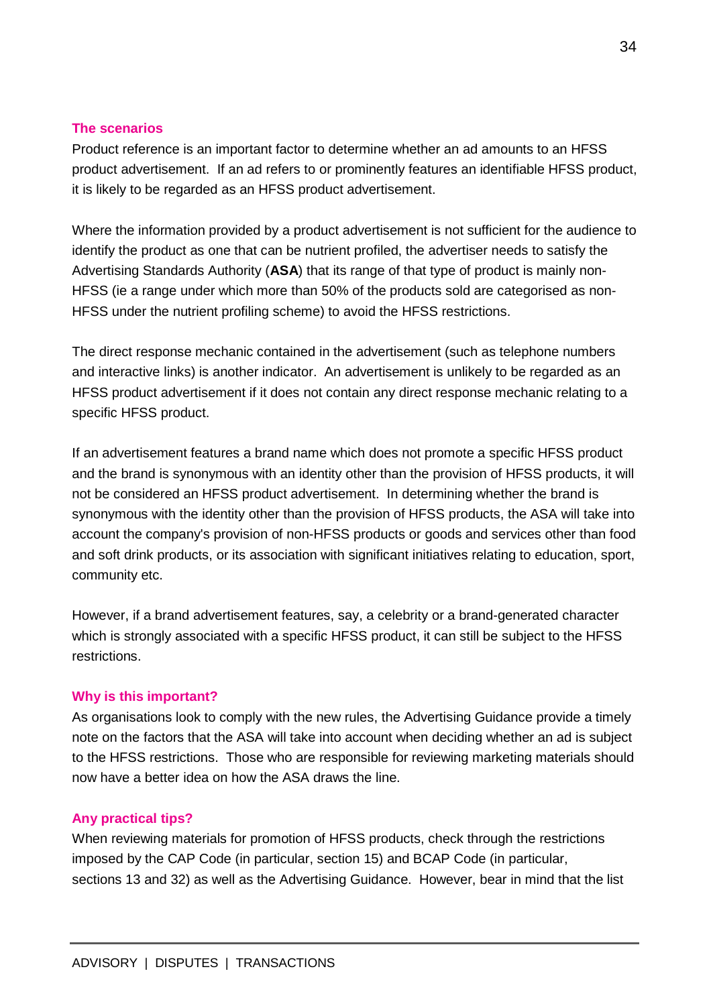### **The scenarios**

Product reference is an important factor to determine whether an ad amounts to an HFSS product advertisement. If an ad refers to or prominently features an identifiable HFSS product, it is likely to be regarded as an HFSS product advertisement.

Where the information provided by a product advertisement is not sufficient for the audience to identify the product as one that can be nutrient profiled, the advertiser needs to satisfy the Advertising Standards Authority (**ASA**) that its range of that type of product is mainly non-HFSS (ie a range under which more than 50% of the products sold are categorised as non-HFSS under the nutrient profiling scheme) to avoid the HFSS restrictions.

The direct response mechanic contained in the advertisement (such as telephone numbers and interactive links) is another indicator. An advertisement is unlikely to be regarded as an HFSS product advertisement if it does not contain any direct response mechanic relating to a specific HFSS product.

If an advertisement features a brand name which does not promote a specific HFSS product and the brand is synonymous with an identity other than the provision of HFSS products, it will not be considered an HFSS product advertisement. In determining whether the brand is synonymous with the identity other than the provision of HFSS products, the ASA will take into account the company's provision of non-HFSS products or goods and services other than food and soft drink products, or its association with significant initiatives relating to education, sport, community etc.

However, if a brand advertisement features, say, a celebrity or a brand-generated character which is strongly associated with a specific HFSS product, it can still be subject to the HFSS restrictions.

### **Why is this important?**

As organisations look to comply with the new rules, the Advertising Guidance provide a timely note on the factors that the ASA will take into account when deciding whether an ad is subject to the HFSS restrictions. Those who are responsible for reviewing marketing materials should now have a better idea on how the ASA draws the line.

### **Any practical tips?**

When reviewing materials for promotion of HFSS products, check through the restrictions imposed by the CAP Code (in particular, section 15) and BCAP Code (in particular, sections 13 and 32) as well as the Advertising Guidance. However, bear in mind that the list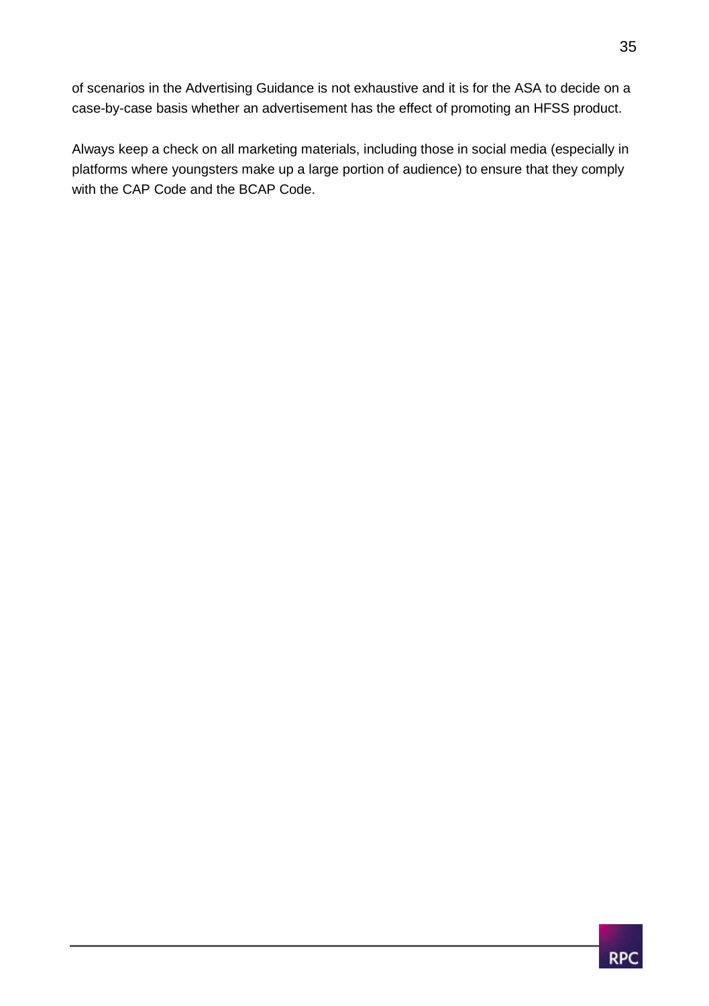of scenarios in the Advertising Guidance is not exhaustive and it is for the ASA to decide on a case-by-case basis whether an advertisement has the effect of promoting an HFSS product.

Always keep a check on all marketing materials, including those in social media (especially in platforms where youngsters make up a large portion of audience) to ensure that they comply with the CAP Code and the BCAP Code.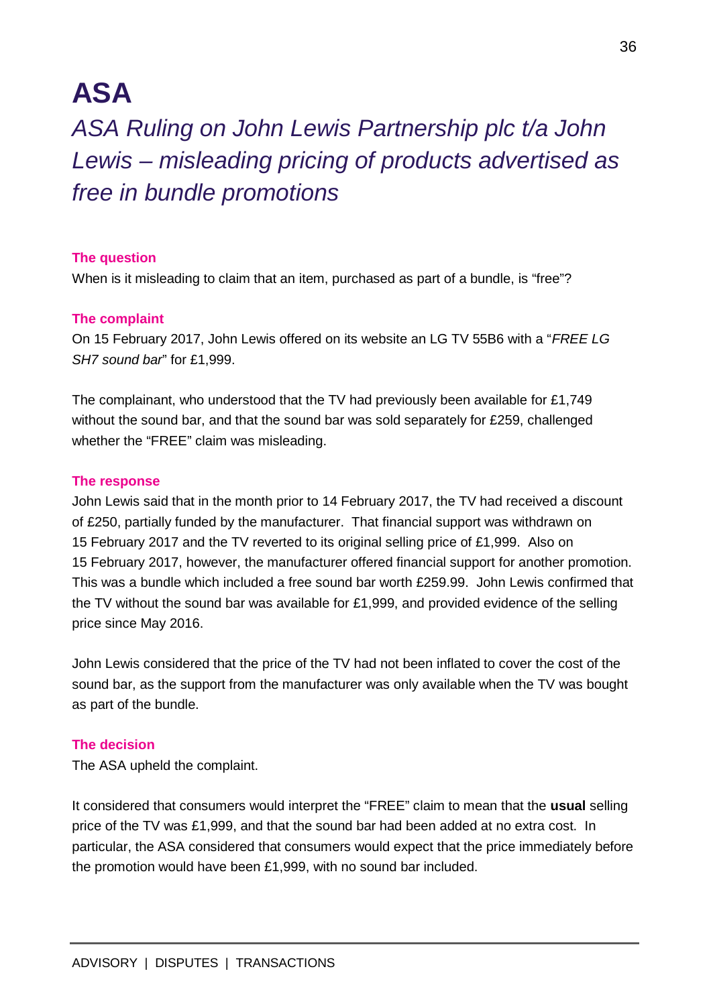## **ASA**

### *ASA Ruling on John Lewis Partnership plc t/a John Lewis – misleading pricing of products advertised as free in bundle promotions*

### **The question**

When is it misleading to claim that an item, purchased as part of a bundle, is "free"?

### **The complaint**

On 15 February 2017, John Lewis offered on its website an LG TV 55B6 with a "*FREE LG SH7 sound bar*" for £1,999.

The complainant, who understood that the TV had previously been available for £1,749 without the sound bar, and that the sound bar was sold separately for £259, challenged whether the "FREE" claim was misleading.

#### **The response**

John Lewis said that in the month prior to 14 February 2017, the TV had received a discount of £250, partially funded by the manufacturer. That financial support was withdrawn on 15 February 2017 and the TV reverted to its original selling price of £1,999. Also on 15 February 2017, however, the manufacturer offered financial support for another promotion. This was a bundle which included a free sound bar worth £259.99. John Lewis confirmed that the TV without the sound bar was available for £1,999, and provided evidence of the selling price since May 2016.

John Lewis considered that the price of the TV had not been inflated to cover the cost of the sound bar, as the support from the manufacturer was only available when the TV was bought as part of the bundle.

### **The decision**

The ASA upheld the complaint.

It considered that consumers would interpret the "FREE" claim to mean that the **usual** selling price of the TV was £1,999, and that the sound bar had been added at no extra cost. In particular, the ASA considered that consumers would expect that the price immediately before the promotion would have been £1,999, with no sound bar included.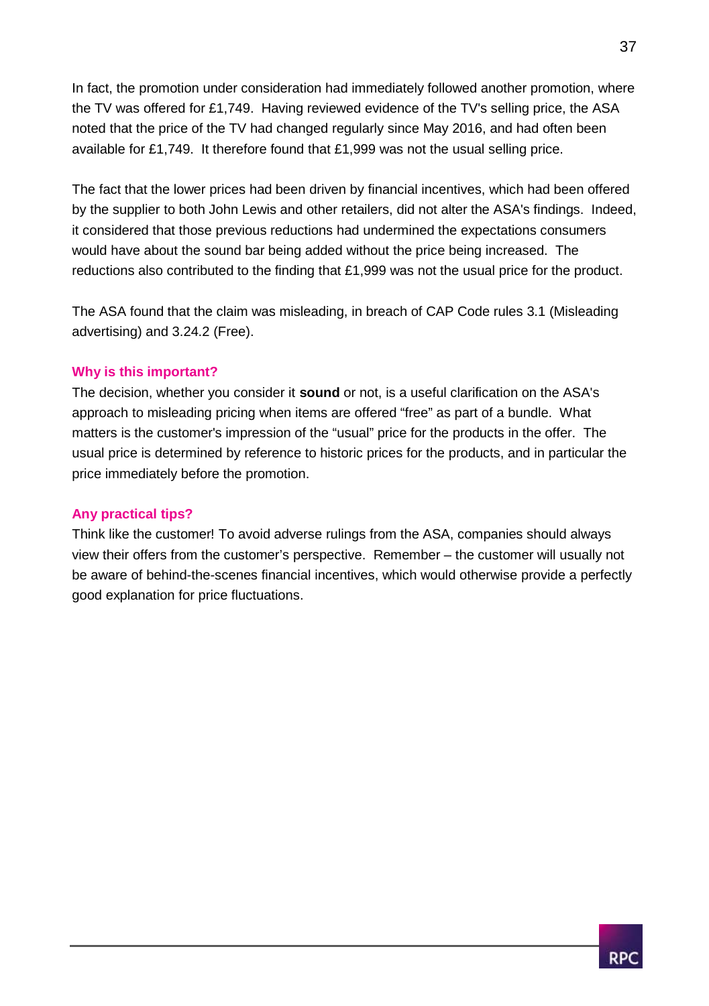In fact, the promotion under consideration had immediately followed another promotion, where the TV was offered for £1,749. Having reviewed evidence of the TV's selling price, the ASA noted that the price of the TV had changed regularly since May 2016, and had often been available for £1,749. It therefore found that £1,999 was not the usual selling price.

The fact that the lower prices had been driven by financial incentives, which had been offered by the supplier to both John Lewis and other retailers, did not alter the ASA's findings. Indeed, it considered that those previous reductions had undermined the expectations consumers would have about the sound bar being added without the price being increased. The reductions also contributed to the finding that £1,999 was not the usual price for the product.

The ASA found that the claim was misleading, in breach of CAP Code rules 3.1 (Misleading advertising) and 3.24.2 (Free).

### **Why is this important?**

The decision, whether you consider it **sound** or not, is a useful clarification on the ASA's approach to misleading pricing when items are offered "free" as part of a bundle. What matters is the customer's impression of the "usual" price for the products in the offer. The usual price is determined by reference to historic prices for the products, and in particular the price immediately before the promotion.

### **Any practical tips?**

Think like the customer! To avoid adverse rulings from the ASA, companies should always view their offers from the customer's perspective. Remember – the customer will usually not be aware of behind-the-scenes financial incentives, which would otherwise provide a perfectly good explanation for price fluctuations.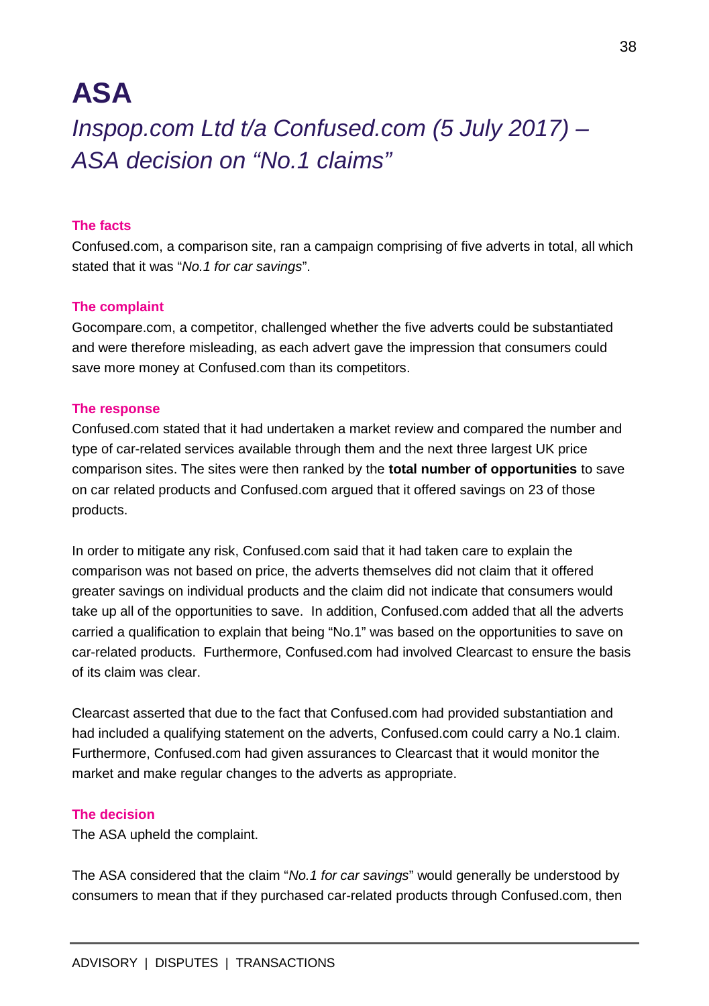## **ASA**

### *Inspop.com Ltd t/a Confused.com (5 July 2017) – ASA decision on "No.1 claims"*

### **The facts**

Confused.com, a comparison site, ran a campaign comprising of five adverts in total, all which stated that it was "*No.1 for car savings*".

#### **The complaint**

Gocompare.com, a competitor, challenged whether the five adverts could be substantiated and were therefore misleading, as each advert gave the impression that consumers could save more money at Confused.com than its competitors.

#### **The response**

Confused.com stated that it had undertaken a market review and compared the number and type of car-related services available through them and the next three largest UK price comparison sites. The sites were then ranked by the **total number of opportunities** to save on car related products and Confused.com argued that it offered savings on 23 of those products.

In order to mitigate any risk, Confused.com said that it had taken care to explain the comparison was not based on price, the adverts themselves did not claim that it offered greater savings on individual products and the claim did not indicate that consumers would take up all of the opportunities to save. In addition, Confused.com added that all the adverts carried a qualification to explain that being "No.1" was based on the opportunities to save on car-related products. Furthermore, Confused.com had involved Clearcast to ensure the basis of its claim was clear.

Clearcast asserted that due to the fact that Confused.com had provided substantiation and had included a qualifying statement on the adverts, Confused.com could carry a No.1 claim. Furthermore, Confused.com had given assurances to Clearcast that it would monitor the market and make regular changes to the adverts as appropriate.

#### **The decision**

The ASA upheld the complaint.

The ASA considered that the claim "*No.1 for car savings*" would generally be understood by consumers to mean that if they purchased car-related products through Confused.com, then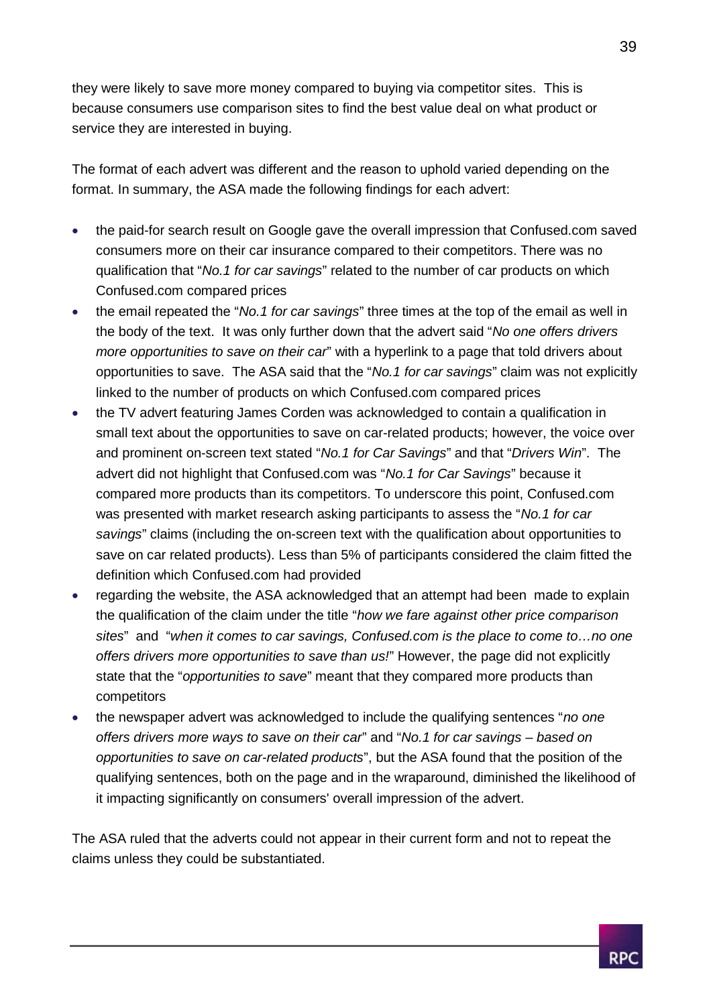they were likely to save more money compared to buying via competitor sites. This is because consumers use comparison sites to find the best value deal on what product or service they are interested in buying.

The format of each advert was different and the reason to uphold varied depending on the format. In summary, the ASA made the following findings for each advert:

- the paid-for search result on Google gave the overall impression that Confused.com saved consumers more on their car insurance compared to their competitors. There was no qualification that "*No.1 for car savings*" related to the number of car products on which Confused.com compared prices
- the email repeated the "*No.1 for car savings*" three times at the top of the email as well in the body of the text. It was only further down that the advert said "*No one offers drivers more opportunities to save on their car*" with a hyperlink to a page that told drivers about opportunities to save. The ASA said that the "*No.1 for car savings*" claim was not explicitly linked to the number of products on which Confused.com compared prices
- the TV advert featuring James Corden was acknowledged to contain a qualification in small text about the opportunities to save on car-related products; however, the voice over and prominent on-screen text stated "*No.1 for Car Savings*" and that "*Drivers Win*". The advert did not highlight that Confused.com was "*No.1 for Car Savings*" because it compared more products than its competitors. To underscore this point, Confused.com was presented with market research asking participants to assess the "*No.1 for car savings*" claims (including the on-screen text with the qualification about opportunities to save on car related products). Less than 5% of participants considered the claim fitted the definition which Confused.com had provided
- regarding the website, the ASA acknowledged that an attempt had been made to explain the qualification of the claim under the title "*how we fare against other price comparison sites*" and "*when it comes to car savings, Confused.com is the place to come to…no one offers drivers more opportunities to save than us!*" However, the page did not explicitly state that the "*opportunities to save*" meant that they compared more products than competitors
- the newspaper advert was acknowledged to include the qualifying sentences "*no one offers drivers more ways to save on their car*" and "*No.1 for car savings – based on opportunities to save on car-related products*", but the ASA found that the position of the qualifying sentences, both on the page and in the wraparound, diminished the likelihood of it impacting significantly on consumers' overall impression of the advert.

The ASA ruled that the adverts could not appear in their current form and not to repeat the claims unless they could be substantiated.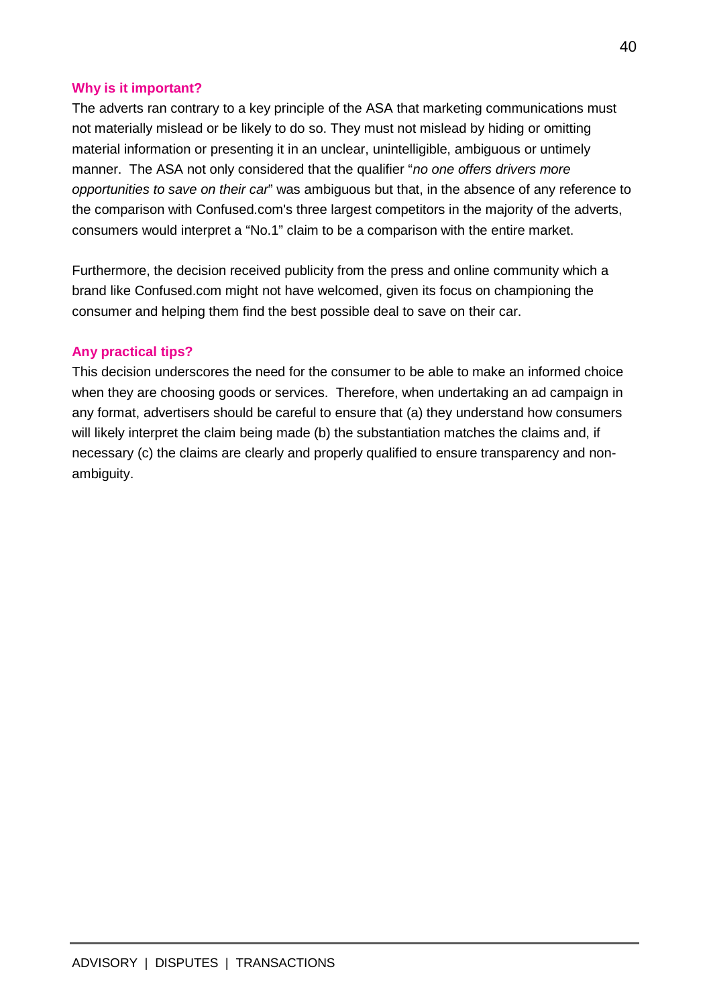### **Why is it important?**

The adverts ran contrary to a key principle of the ASA that marketing communications must not materially mislead or be likely to do so. They must not mislead by hiding or omitting material information or presenting it in an unclear, unintelligible, ambiguous or untimely manner. The ASA not only considered that the qualifier "*no one offers drivers more opportunities to save on their car*" was ambiguous but that, in the absence of any reference to the comparison with Confused.com's three largest competitors in the majority of the adverts, consumers would interpret a "No.1" claim to be a comparison with the entire market.

Furthermore, the decision received publicity from the press and online community which a brand like Confused.com might not have welcomed, given its focus on championing the consumer and helping them find the best possible deal to save on their car.

### **Any practical tips?**

This decision underscores the need for the consumer to be able to make an informed choice when they are choosing goods or services. Therefore, when undertaking an ad campaign in any format, advertisers should be careful to ensure that (a) they understand how consumers will likely interpret the claim being made (b) the substantiation matches the claims and, if necessary (c) the claims are clearly and properly qualified to ensure transparency and nonambiguity.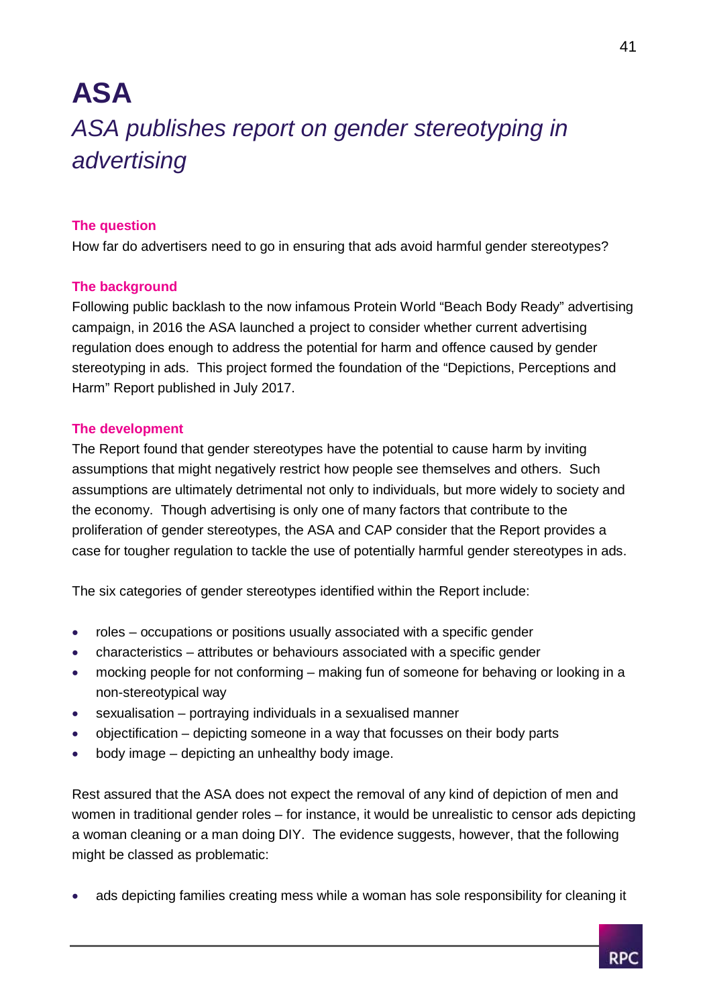# **ASA** *ASA publishes report on gender stereotyping in advertising*

### **The question**

How far do advertisers need to go in ensuring that ads avoid harmful gender stereotypes?

### **The background**

Following public backlash to the now infamous Protein World "Beach Body Ready" advertising campaign, in 2016 the ASA launched a project to consider whether current advertising regulation does enough to address the potential for harm and offence caused by gender stereotyping in ads. This project formed the foundation of the "Depictions, Perceptions and Harm" Report published in July 2017.

### **The development**

The Report found that gender stereotypes have the potential to cause harm by inviting assumptions that might negatively restrict how people see themselves and others. Such assumptions are ultimately detrimental not only to individuals, but more widely to society and the economy. Though advertising is only one of many factors that contribute to the proliferation of gender stereotypes, the ASA and CAP consider that the Report provides a case for tougher regulation to tackle the use of potentially harmful gender stereotypes in ads.

The six categories of gender stereotypes identified within the Report include:

- roles occupations or positions usually associated with a specific gender
- characteristics attributes or behaviours associated with a specific gender
- mocking people for not conforming making fun of someone for behaving or looking in a non-stereotypical way
- sexualisation portraying individuals in a sexualised manner
- objectification depicting someone in a way that focusses on their body parts
- body image depicting an unhealthy body image.

Rest assured that the ASA does not expect the removal of any kind of depiction of men and women in traditional gender roles – for instance, it would be unrealistic to censor ads depicting a woman cleaning or a man doing DIY. The evidence suggests, however, that the following might be classed as problematic:

ads depicting families creating mess while a woman has sole responsibility for cleaning it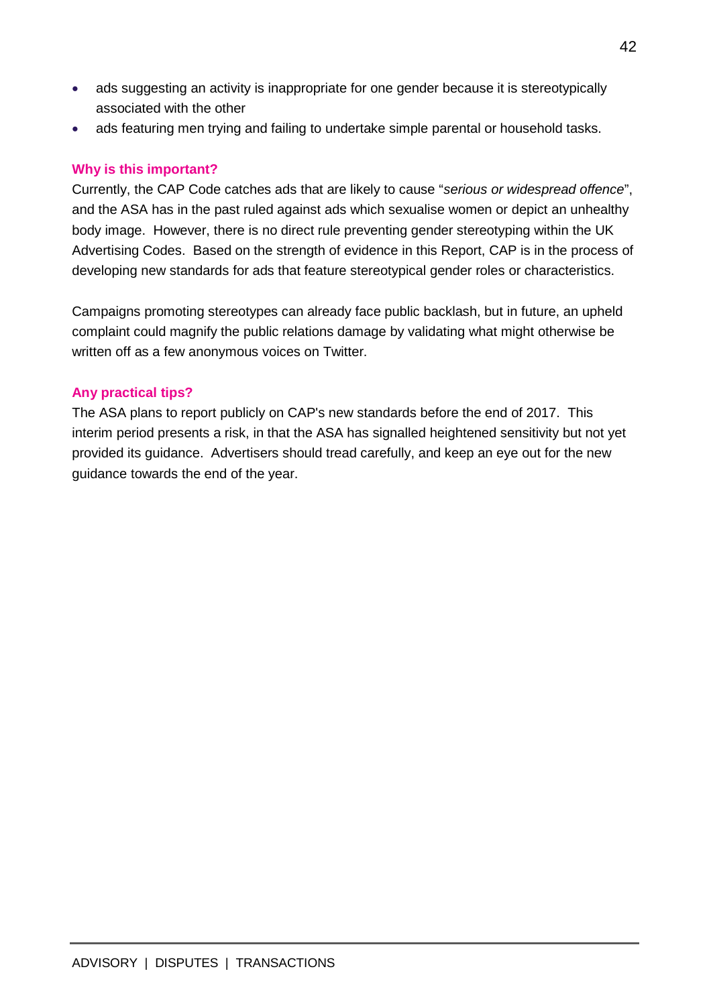- ads suggesting an activity is inappropriate for one gender because it is stereotypically associated with the other
- ads featuring men trying and failing to undertake simple parental or household tasks.

### **Why is this important?**

Currently, the CAP Code catches ads that are likely to cause "*serious or widespread offence*", and the ASA has in the past ruled against ads which sexualise women or depict an unhealthy body image. However, there is no direct rule preventing gender stereotyping within the UK Advertising Codes. Based on the strength of evidence in this Report, CAP is in the process of developing new standards for ads that feature stereotypical gender roles or characteristics.

Campaigns promoting stereotypes can already face public backlash, but in future, an upheld complaint could magnify the public relations damage by validating what might otherwise be written off as a few anonymous voices on Twitter.

### **Any practical tips?**

The ASA plans to report publicly on CAP's new standards before the end of 2017. This interim period presents a risk, in that the ASA has signalled heightened sensitivity but not yet provided its guidance. Advertisers should tread carefully, and keep an eye out for the new guidance towards the end of the year.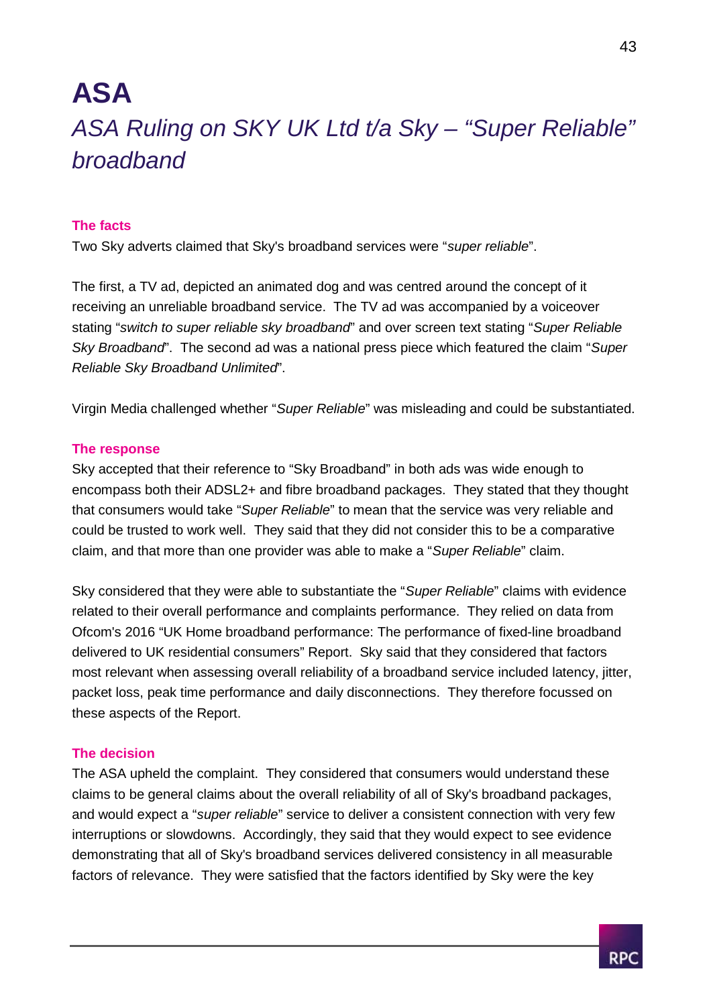# **ASA** *ASA Ruling on SKY UK Ltd t/a Sky – "Super Reliable" broadband*

### **The facts**

Two Sky adverts claimed that Sky's broadband services were "*super reliable*".

The first, a TV ad, depicted an animated dog and was centred around the concept of it receiving an unreliable broadband service. The TV ad was accompanied by a voiceover stating "*switch to super reliable sky broadband*" and over screen text stating "*Super Reliable Sky Broadband*". The second ad was a national press piece which featured the claim "*Super Reliable Sky Broadband Unlimited*".

Virgin Media challenged whether "*Super Reliable*" was misleading and could be substantiated.

### **The response**

Sky accepted that their reference to "Sky Broadband" in both ads was wide enough to encompass both their ADSL2+ and fibre broadband packages. They stated that they thought that consumers would take "*Super Reliable*" to mean that the service was very reliable and could be trusted to work well. They said that they did not consider this to be a comparative claim, and that more than one provider was able to make a "*Super Reliable*" claim.

Sky considered that they were able to substantiate the "*Super Reliable*" claims with evidence related to their overall performance and complaints performance. They relied on data from Ofcom's 2016 "UK Home broadband performance: The performance of fixed-line broadband delivered to UK residential consumers" Report. Sky said that they considered that factors most relevant when assessing overall reliability of a broadband service included latency, jitter, packet loss, peak time performance and daily disconnections. They therefore focussed on these aspects of the Report.

### **The decision**

The ASA upheld the complaint. They considered that consumers would understand these claims to be general claims about the overall reliability of all of Sky's broadband packages, and would expect a "*super reliable*" service to deliver a consistent connection with very few interruptions or slowdowns. Accordingly, they said that they would expect to see evidence demonstrating that all of Sky's broadband services delivered consistency in all measurable factors of relevance. They were satisfied that the factors identified by Sky were the key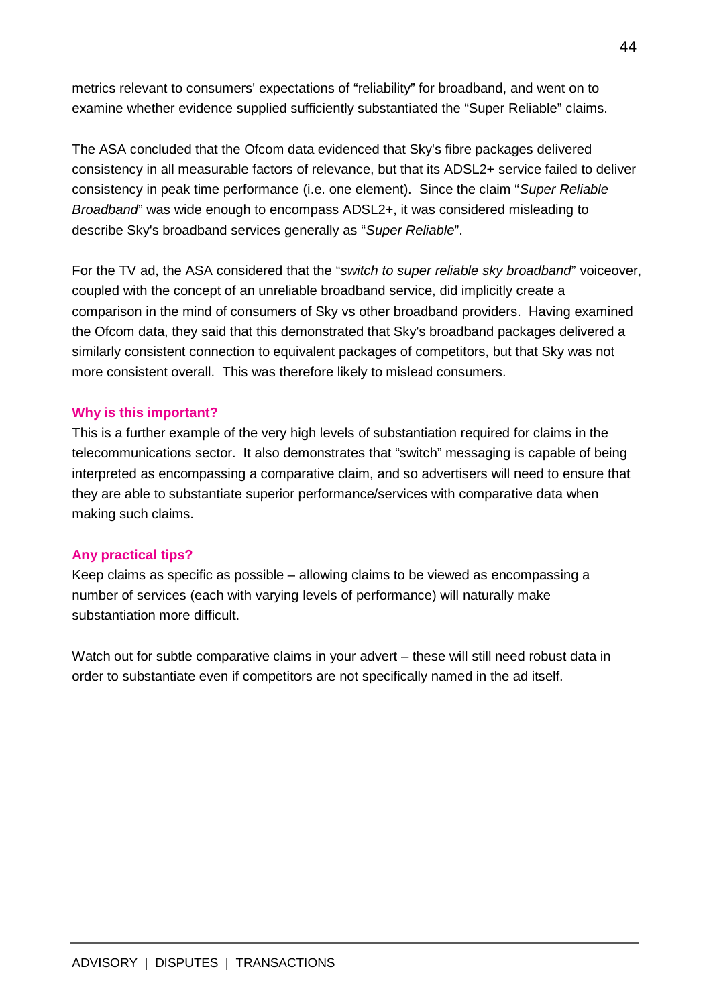metrics relevant to consumers' expectations of "reliability" for broadband, and went on to examine whether evidence supplied sufficiently substantiated the "Super Reliable" claims.

The ASA concluded that the Ofcom data evidenced that Sky's fibre packages delivered consistency in all measurable factors of relevance, but that its ADSL2+ service failed to deliver consistency in peak time performance (i.e. one element). Since the claim "*Super Reliable Broadband*" was wide enough to encompass ADSL2+, it was considered misleading to describe Sky's broadband services generally as "*Super Reliable*".

For the TV ad, the ASA considered that the "*switch to super reliable sky broadband*" voiceover, coupled with the concept of an unreliable broadband service, did implicitly create a comparison in the mind of consumers of Sky vs other broadband providers. Having examined the Ofcom data, they said that this demonstrated that Sky's broadband packages delivered a similarly consistent connection to equivalent packages of competitors, but that Sky was not more consistent overall. This was therefore likely to mislead consumers.

### **Why is this important?**

This is a further example of the very high levels of substantiation required for claims in the telecommunications sector. It also demonstrates that "switch" messaging is capable of being interpreted as encompassing a comparative claim, and so advertisers will need to ensure that they are able to substantiate superior performance/services with comparative data when making such claims.

### **Any practical tips?**

Keep claims as specific as possible – allowing claims to be viewed as encompassing a number of services (each with varying levels of performance) will naturally make substantiation more difficult.

Watch out for subtle comparative claims in your advert – these will still need robust data in order to substantiate even if competitors are not specifically named in the ad itself.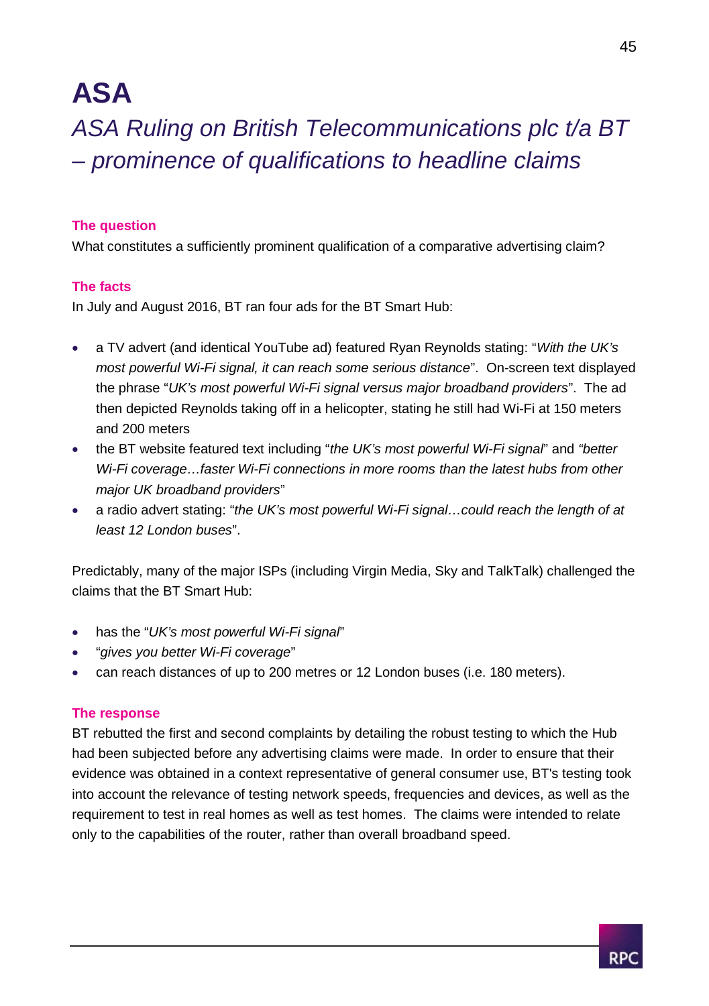## **ASA**

*ASA Ruling on British Telecommunications plc t/a BT – prominence of qualifications to headline claims*

### **The question**

What constitutes a sufficiently prominent qualification of a comparative advertising claim?

### **The facts**

In July and August 2016, BT ran four ads for the BT Smart Hub:

- a TV advert (and identical YouTube ad) featured Ryan Reynolds stating: "*With the UK's most powerful Wi-Fi signal, it can reach some serious distance*". On-screen text displayed the phrase "*UK's most powerful Wi-Fi signal versus major broadband providers*". The ad then depicted Reynolds taking off in a helicopter, stating he still had Wi-Fi at 150 meters and 200 meters
- the BT website featured text including "*the UK's most powerful Wi-Fi signal*" and *"better Wi-Fi coverage…faster Wi-Fi connections in more rooms than the latest hubs from other major UK broadband providers*"
- a radio advert stating: "*the UK's most powerful Wi-Fi signal…could reach the length of at least 12 London buses*".

Predictably, many of the major ISPs (including Virgin Media, Sky and TalkTalk) challenged the claims that the BT Smart Hub:

- has the "*UK's most powerful Wi-Fi signal*"
- "*gives you better Wi-Fi coverage*"
- can reach distances of up to 200 metres or 12 London buses (i.e. 180 meters).

### **The response**

BT rebutted the first and second complaints by detailing the robust testing to which the Hub had been subjected before any advertising claims were made. In order to ensure that their evidence was obtained in a context representative of general consumer use, BT's testing took into account the relevance of testing network speeds, frequencies and devices, as well as the requirement to test in real homes as well as test homes. The claims were intended to relate only to the capabilities of the router, rather than overall broadband speed.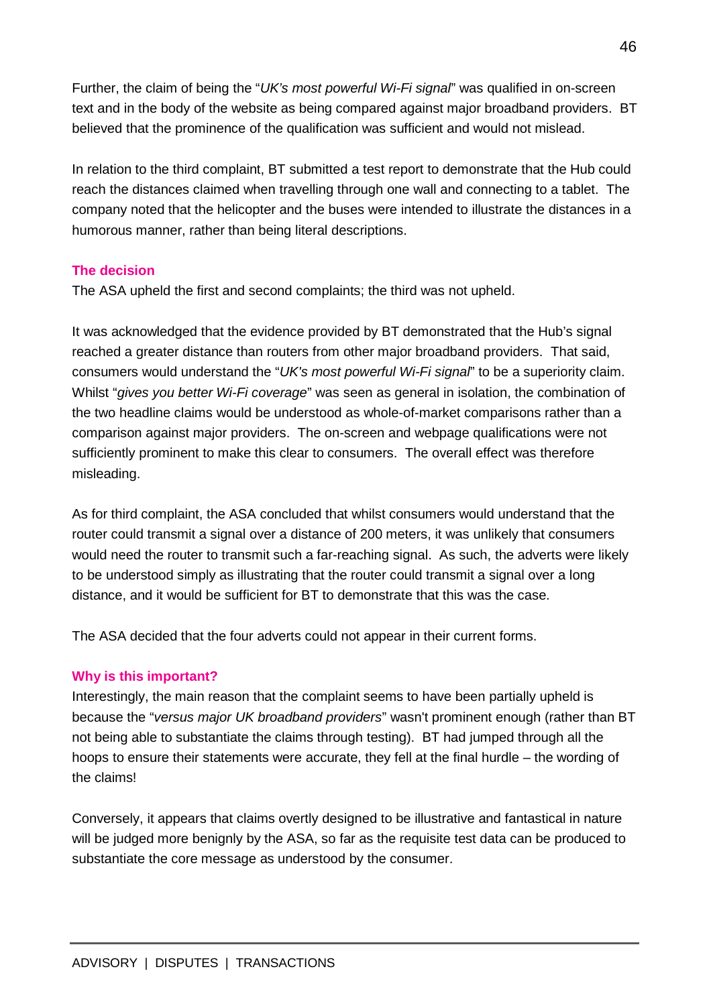Further, the claim of being the "*UK's most powerful Wi-Fi signal*" was qualified in on-screen text and in the body of the website as being compared against major broadband providers. BT believed that the prominence of the qualification was sufficient and would not mislead.

In relation to the third complaint, BT submitted a test report to demonstrate that the Hub could reach the distances claimed when travelling through one wall and connecting to a tablet. The company noted that the helicopter and the buses were intended to illustrate the distances in a humorous manner, rather than being literal descriptions.

### **The decision**

The ASA upheld the first and second complaints; the third was not upheld.

It was acknowledged that the evidence provided by BT demonstrated that the Hub's signal reached a greater distance than routers from other major broadband providers. That said, consumers would understand the "*UK's most powerful Wi-Fi signal*" to be a superiority claim. Whilst "*gives you better Wi-Fi coverage*" was seen as general in isolation, the combination of the two headline claims would be understood as whole-of-market comparisons rather than a comparison against major providers. The on-screen and webpage qualifications were not sufficiently prominent to make this clear to consumers. The overall effect was therefore misleading.

As for third complaint, the ASA concluded that whilst consumers would understand that the router could transmit a signal over a distance of 200 meters, it was unlikely that consumers would need the router to transmit such a far-reaching signal. As such, the adverts were likely to be understood simply as illustrating that the router could transmit a signal over a long distance, and it would be sufficient for BT to demonstrate that this was the case.

The ASA decided that the four adverts could not appear in their current forms.

### **Why is this important?**

Interestingly, the main reason that the complaint seems to have been partially upheld is because the "*versus major UK broadband providers*" wasn't prominent enough (rather than BT not being able to substantiate the claims through testing). BT had jumped through all the hoops to ensure their statements were accurate, they fell at the final hurdle – the wording of the claims!

Conversely, it appears that claims overtly designed to be illustrative and fantastical in nature will be judged more benignly by the ASA, so far as the requisite test data can be produced to substantiate the core message as understood by the consumer.